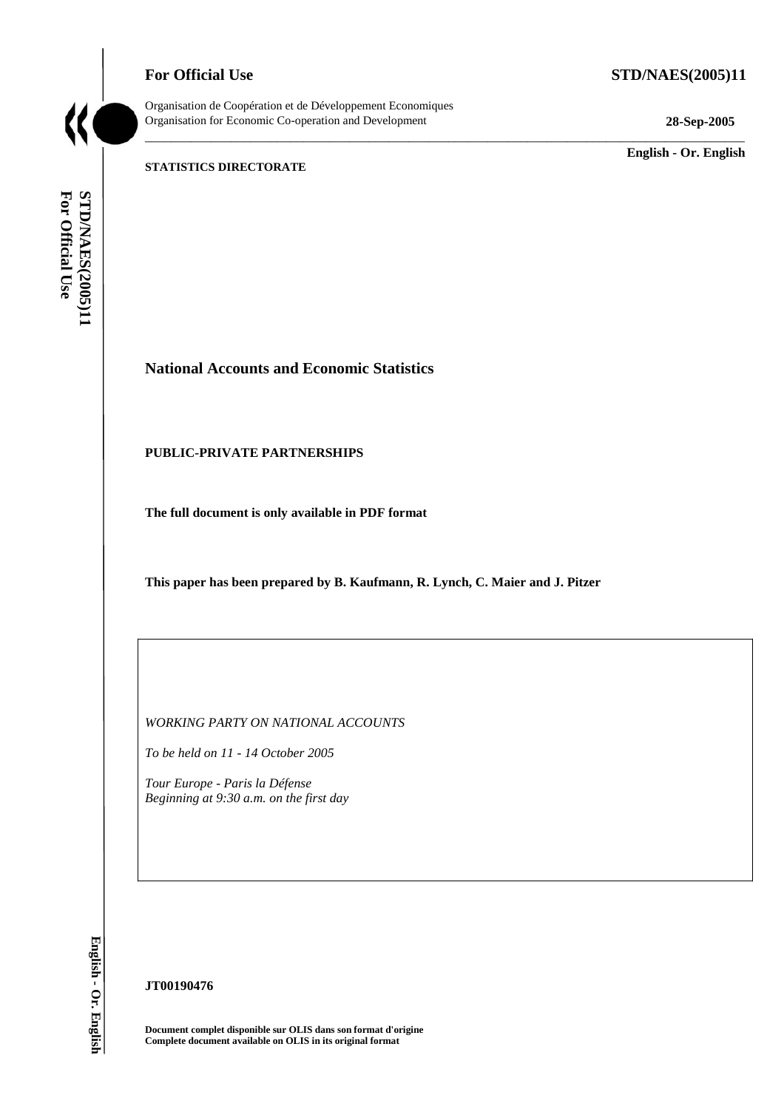## **For Official Use STD/NAES(2005)11**



Organisation de Coopération et de Développement Economiques Organisation for Economic Co-operation and Development **28-Sep-2005** 

\_\_\_\_\_\_\_\_\_\_\_\_\_\_\_\_\_\_\_\_\_\_\_\_\_\_\_\_\_\_\_\_\_\_\_\_\_\_\_\_\_\_\_\_\_\_\_\_\_\_\_\_\_\_\_\_\_\_\_\_\_\_\_\_\_\_\_\_\_\_\_\_\_\_\_\_\_\_\_\_\_\_\_\_\_\_\_\_\_\_\_

\_\_\_\_\_\_\_\_\_\_\_\_\_ **English - Or. English** 

## **STATISTICS DIRECTORATE**

For Official Use STD/NAES(2005)11 **For Official Use STD/NAES(2005)11**

# **National Accounts and Economic Statistics**

## **PUBLIC-PRIVATE PARTNERSHIPS**

**The full document is only available in PDF format** 

**This paper has been prepared by B. Kaufmann, R. Lynch, C. Maier and J. Pitzer** 

*WORKING PARTY ON NATIONAL ACCOUNTS* 

*To be held on 11 - 14 October 2005* 

*Tour Europe - Paris la Défense Beginning at 9:30 a.m. on the first day* 

English - Or. English **English - Or. English**

**JT00190476** 

**Document complet disponible sur OLIS dans son format d'origine Complete document available on OLIS in its original format**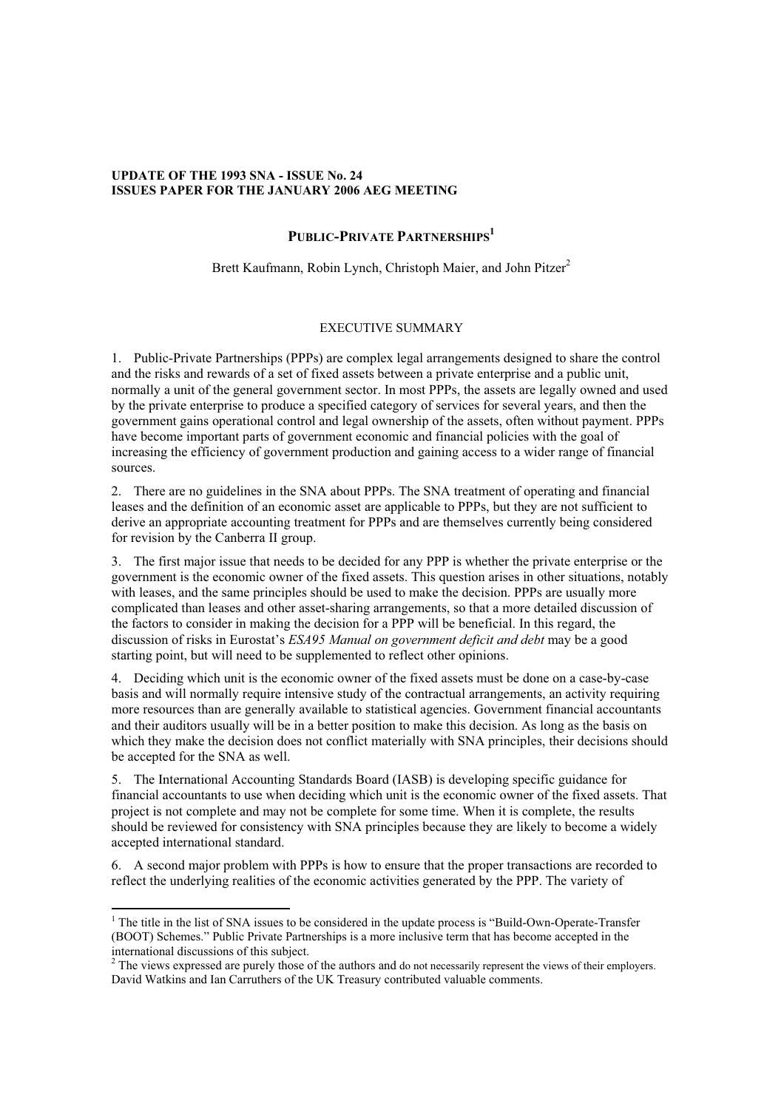#### **UPDATE OF THE 1993 SNA - ISSUE No. 24 ISSUES PAPER FOR THE JANUARY 2006 AEG MEETING**

## PUBLIC-PRIVATE PARTNERSHIPS<sup>1</sup>

Brett Kaufmann, Robin Lynch, Christoph Maier, and John Pitzer<sup>2</sup>

## EXECUTIVE SUMMARY

1. Public-Private Partnerships (PPPs) are complex legal arrangements designed to share the control and the risks and rewards of a set of fixed assets between a private enterprise and a public unit, normally a unit of the general government sector. In most PPPs, the assets are legally owned and used by the private enterprise to produce a specified category of services for several years, and then the government gains operational control and legal ownership of the assets, often without payment. PPPs have become important parts of government economic and financial policies with the goal of increasing the efficiency of government production and gaining access to a wider range of financial sources.

2. There are no guidelines in the SNA about PPPs. The SNA treatment of operating and financial leases and the definition of an economic asset are applicable to PPPs, but they are not sufficient to derive an appropriate accounting treatment for PPPs and are themselves currently being considered for revision by the Canberra II group.

3. The first major issue that needs to be decided for any PPP is whether the private enterprise or the government is the economic owner of the fixed assets. This question arises in other situations, notably with leases, and the same principles should be used to make the decision. PPPs are usually more complicated than leases and other asset-sharing arrangements, so that a more detailed discussion of the factors to consider in making the decision for a PPP will be beneficial. In this regard, the discussion of risks in Eurostat's *ESA95 Manual on government deficit and debt* may be a good starting point, but will need to be supplemented to reflect other opinions.

4. Deciding which unit is the economic owner of the fixed assets must be done on a case-by-case basis and will normally require intensive study of the contractual arrangements, an activity requiring more resources than are generally available to statistical agencies. Government financial accountants and their auditors usually will be in a better position to make this decision. As long as the basis on which they make the decision does not conflict materially with SNA principles, their decisions should be accepted for the SNA as well.

5. The International Accounting Standards Board (IASB) is developing specific guidance for financial accountants to use when deciding which unit is the economic owner of the fixed assets. That project is not complete and may not be complete for some time. When it is complete, the results should be reviewed for consistency with SNA principles because they are likely to become a widely accepted international standard.

6. A second major problem with PPPs is how to ensure that the proper transactions are recorded to reflect the underlying realities of the economic activities generated by the PPP. The variety of

<sup>&</sup>lt;sup>1</sup> The title in the list of SNA issues to be considered in the update process is "Build-Own-Operate-Transfer (BOOT) Schemes." Public Private Partnerships is a more inclusive term that has become accepted in the international discussions of this subject.

 $2^2$  The views expressed are purely those of the authors and do not necessarily represent the views of their employers. David Watkins and Ian Carruthers of the UK Treasury contributed valuable comments.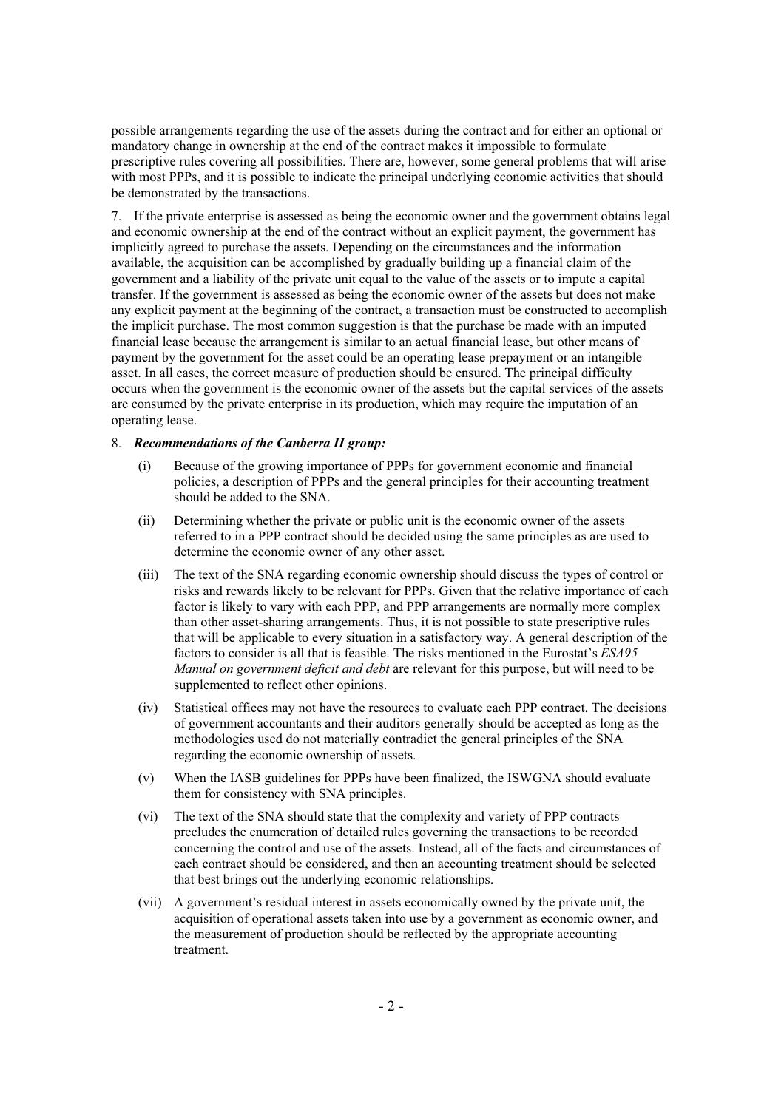possible arrangements regarding the use of the assets during the contract and for either an optional or mandatory change in ownership at the end of the contract makes it impossible to formulate prescriptive rules covering all possibilities. There are, however, some general problems that will arise with most PPPs, and it is possible to indicate the principal underlying economic activities that should be demonstrated by the transactions.

7. If the private enterprise is assessed as being the economic owner and the government obtains legal and economic ownership at the end of the contract without an explicit payment, the government has implicitly agreed to purchase the assets. Depending on the circumstances and the information available, the acquisition can be accomplished by gradually building up a financial claim of the government and a liability of the private unit equal to the value of the assets or to impute a capital transfer. If the government is assessed as being the economic owner of the assets but does not make any explicit payment at the beginning of the contract, a transaction must be constructed to accomplish the implicit purchase. The most common suggestion is that the purchase be made with an imputed financial lease because the arrangement is similar to an actual financial lease, but other means of payment by the government for the asset could be an operating lease prepayment or an intangible asset. In all cases, the correct measure of production should be ensured. The principal difficulty occurs when the government is the economic owner of the assets but the capital services of the assets are consumed by the private enterprise in its production, which may require the imputation of an operating lease.

#### 8. *Recommendations of the Canberra II group:*

- (i) Because of the growing importance of PPPs for government economic and financial policies, a description of PPPs and the general principles for their accounting treatment should be added to the SNA.
- (ii) Determining whether the private or public unit is the economic owner of the assets referred to in a PPP contract should be decided using the same principles as are used to determine the economic owner of any other asset.
- (iii) The text of the SNA regarding economic ownership should discuss the types of control or risks and rewards likely to be relevant for PPPs. Given that the relative importance of each factor is likely to vary with each PPP, and PPP arrangements are normally more complex than other asset-sharing arrangements. Thus, it is not possible to state prescriptive rules that will be applicable to every situation in a satisfactory way. A general description of the factors to consider is all that is feasible. The risks mentioned in the Eurostat's *ESA95 Manual on government deficit and debt* are relevant for this purpose, but will need to be supplemented to reflect other opinions.
- (iv) Statistical offices may not have the resources to evaluate each PPP contract. The decisions of government accountants and their auditors generally should be accepted as long as the methodologies used do not materially contradict the general principles of the SNA regarding the economic ownership of assets.
- (v) When the IASB guidelines for PPPs have been finalized, the ISWGNA should evaluate them for consistency with SNA principles.
- (vi) The text of the SNA should state that the complexity and variety of PPP contracts precludes the enumeration of detailed rules governing the transactions to be recorded concerning the control and use of the assets. Instead, all of the facts and circumstances of each contract should be considered, and then an accounting treatment should be selected that best brings out the underlying economic relationships.
- (vii) A government's residual interest in assets economically owned by the private unit, the acquisition of operational assets taken into use by a government as economic owner, and the measurement of production should be reflected by the appropriate accounting treatment.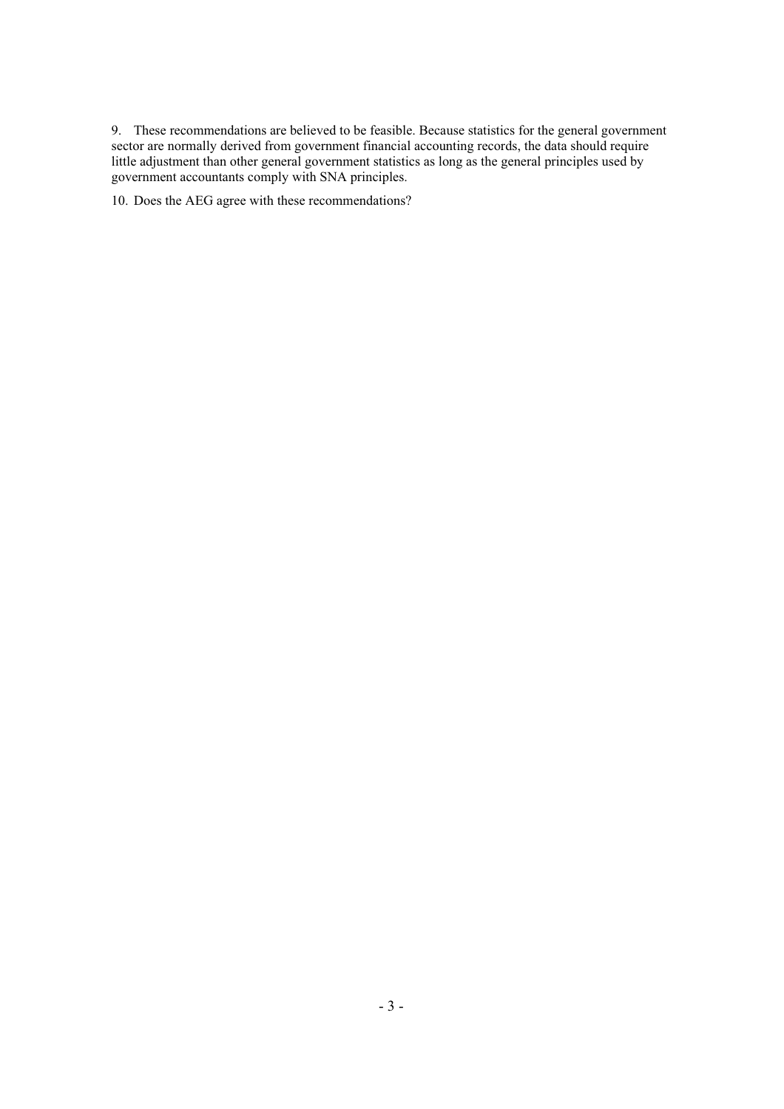9. These recommendations are believed to be feasible. Because statistics for the general government sector are normally derived from government financial accounting records, the data should require little adjustment than other general government statistics as long as the general principles used by government accountants comply with SNA principles.

10. Does the AEG agree with these recommendations?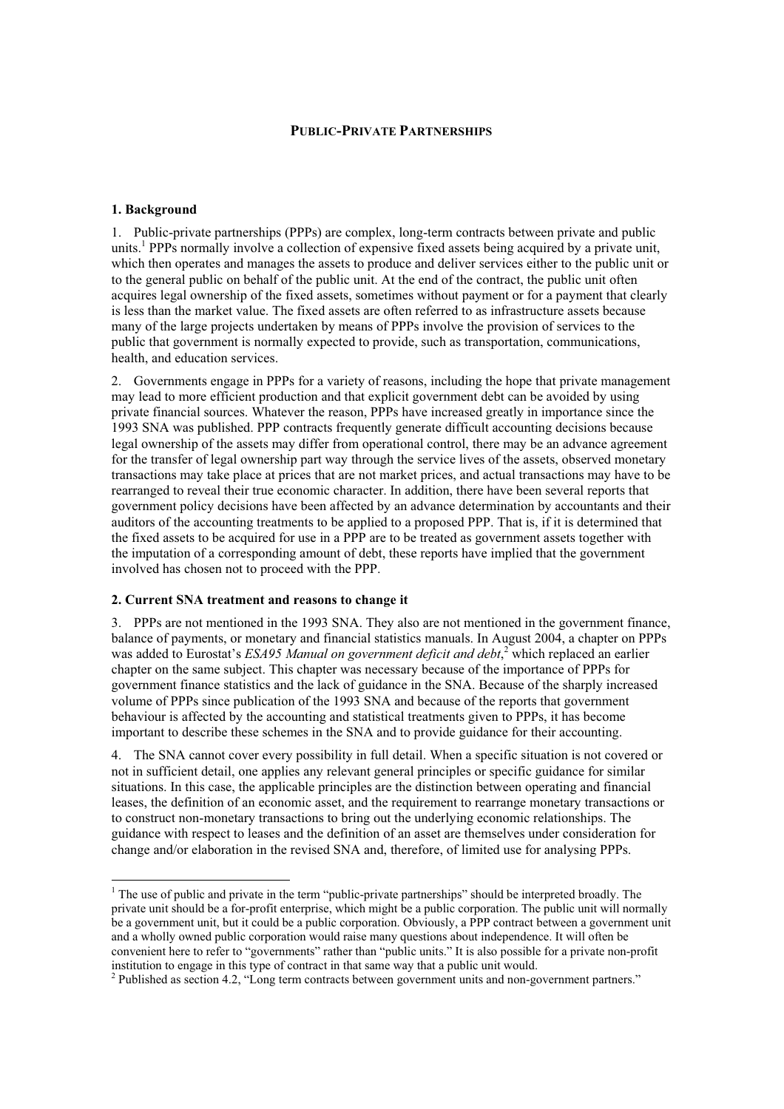### **PUBLIC-PRIVATE PARTNERSHIPS**

#### **1. Background**

1. Public-private partnerships (PPPs) are complex, long-term contracts between private and public units.<sup>1</sup> PPPs normally involve a collection of expensive fixed assets being acquired by a private unit, which then operates and manages the assets to produce and deliver services either to the public unit or to the general public on behalf of the public unit. At the end of the contract, the public unit often acquires legal ownership of the fixed assets, sometimes without payment or for a payment that clearly is less than the market value. The fixed assets are often referred to as infrastructure assets because many of the large projects undertaken by means of PPPs involve the provision of services to the public that government is normally expected to provide, such as transportation, communications, health, and education services.

2. Governments engage in PPPs for a variety of reasons, including the hope that private management may lead to more efficient production and that explicit government debt can be avoided by using private financial sources. Whatever the reason, PPPs have increased greatly in importance since the 1993 SNA was published. PPP contracts frequently generate difficult accounting decisions because legal ownership of the assets may differ from operational control, there may be an advance agreement for the transfer of legal ownership part way through the service lives of the assets, observed monetary transactions may take place at prices that are not market prices, and actual transactions may have to be rearranged to reveal their true economic character. In addition, there have been several reports that government policy decisions have been affected by an advance determination by accountants and their auditors of the accounting treatments to be applied to a proposed PPP. That is, if it is determined that the fixed assets to be acquired for use in a PPP are to be treated as government assets together with the imputation of a corresponding amount of debt, these reports have implied that the government involved has chosen not to proceed with the PPP.

#### **2. Current SNA treatment and reasons to change it**

3. PPPs are not mentioned in the 1993 SNA. They also are not mentioned in the government finance, balance of payments, or monetary and financial statistics manuals. In August 2004, a chapter on PPPs was added to Eurostat's *ESA95 Manual on government deficit and debt*,<sup>2</sup> which replaced an earlier chapter on the same subject. This chapter was necessary because of the importance of PPPs for government finance statistics and the lack of guidance in the SNA. Because of the sharply increased volume of PPPs since publication of the 1993 SNA and because of the reports that government behaviour is affected by the accounting and statistical treatments given to PPPs, it has become important to describe these schemes in the SNA and to provide guidance for their accounting.

4. The SNA cannot cover every possibility in full detail. When a specific situation is not covered or not in sufficient detail, one applies any relevant general principles or specific guidance for similar situations. In this case, the applicable principles are the distinction between operating and financial leases, the definition of an economic asset, and the requirement to rearrange monetary transactions or to construct non-monetary transactions to bring out the underlying economic relationships. The guidance with respect to leases and the definition of an asset are themselves under consideration for change and/or elaboration in the revised SNA and, therefore, of limited use for analysing PPPs.

<sup>&</sup>lt;sup>1</sup> The use of public and private in the term "public-private partnerships" should be interpreted broadly. The private unit should be a for-profit enterprise, which might be a public corporation. The public unit will normally be a government unit, but it could be a public corporation. Obviously, a PPP contract between a government unit and a wholly owned public corporation would raise many questions about independence. It will often be convenient here to refer to "governments" rather than "public units." It is also possible for a private non-profit institution to engage in this type of contract in that same way that a public unit would. 2

Published as section 4.2, "Long term contracts between government units and non-government partners."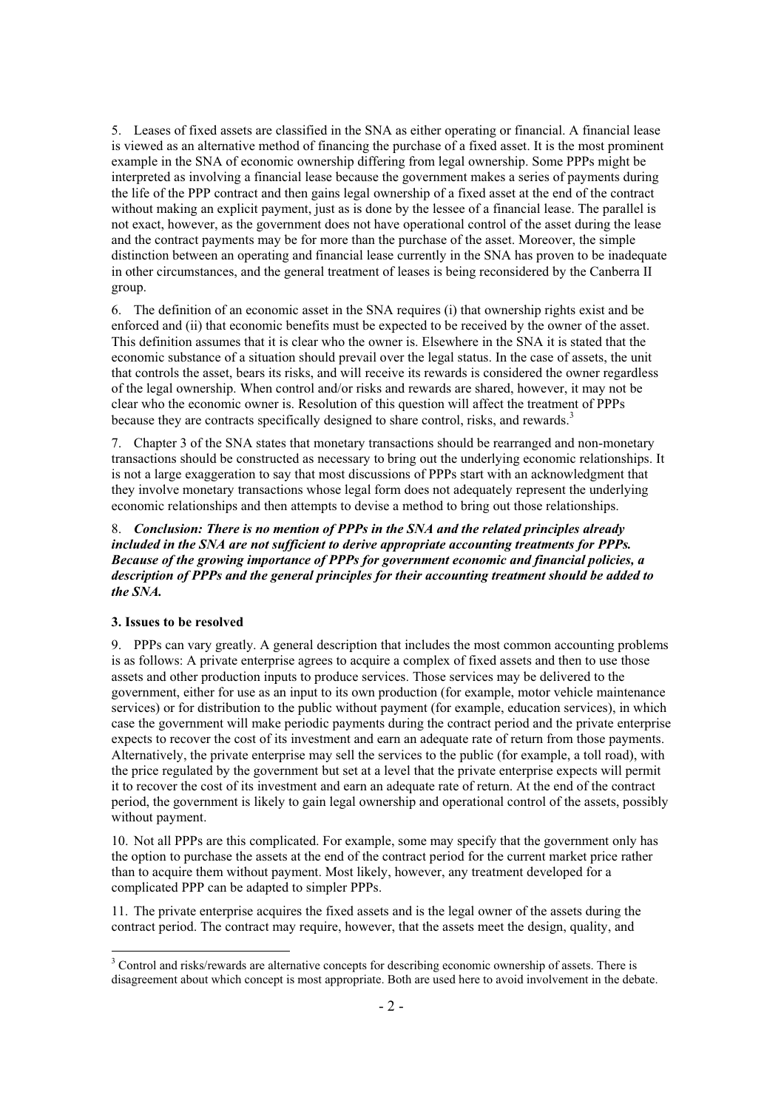5. Leases of fixed assets are classified in the SNA as either operating or financial. A financial lease is viewed as an alternative method of financing the purchase of a fixed asset. It is the most prominent example in the SNA of economic ownership differing from legal ownership. Some PPPs might be interpreted as involving a financial lease because the government makes a series of payments during the life of the PPP contract and then gains legal ownership of a fixed asset at the end of the contract without making an explicit payment, just as is done by the lessee of a financial lease. The parallel is not exact, however, as the government does not have operational control of the asset during the lease and the contract payments may be for more than the purchase of the asset. Moreover, the simple distinction between an operating and financial lease currently in the SNA has proven to be inadequate in other circumstances, and the general treatment of leases is being reconsidered by the Canberra II group.

6. The definition of an economic asset in the SNA requires (i) that ownership rights exist and be enforced and (ii) that economic benefits must be expected to be received by the owner of the asset. This definition assumes that it is clear who the owner is. Elsewhere in the SNA it is stated that the economic substance of a situation should prevail over the legal status. In the case of assets, the unit that controls the asset, bears its risks, and will receive its rewards is considered the owner regardless of the legal ownership. When control and/or risks and rewards are shared, however, it may not be clear who the economic owner is. Resolution of this question will affect the treatment of PPPs because they are contracts specifically designed to share control, risks, and rewards.<sup>3</sup>

7. Chapter 3 of the SNA states that monetary transactions should be rearranged and non-monetary transactions should be constructed as necessary to bring out the underlying economic relationships. It is not a large exaggeration to say that most discussions of PPPs start with an acknowledgment that they involve monetary transactions whose legal form does not adequately represent the underlying economic relationships and then attempts to devise a method to bring out those relationships.

8. *Conclusion: There is no mention of PPPs in the SNA and the related principles already included in the SNA are not sufficient to derive appropriate accounting treatments for PPPs. Because of the growing importance of PPPs for government economic and financial policies, a description of PPPs and the general principles for their accounting treatment should be added to the SNA.*

#### **3. Issues to be resolved**

9. PPPs can vary greatly. A general description that includes the most common accounting problems is as follows: A private enterprise agrees to acquire a complex of fixed assets and then to use those assets and other production inputs to produce services. Those services may be delivered to the government, either for use as an input to its own production (for example, motor vehicle maintenance services) or for distribution to the public without payment (for example, education services), in which case the government will make periodic payments during the contract period and the private enterprise expects to recover the cost of its investment and earn an adequate rate of return from those payments. Alternatively, the private enterprise may sell the services to the public (for example, a toll road), with the price regulated by the government but set at a level that the private enterprise expects will permit it to recover the cost of its investment and earn an adequate rate of return. At the end of the contract period, the government is likely to gain legal ownership and operational control of the assets, possibly without payment.

10. Not all PPPs are this complicated. For example, some may specify that the government only has the option to purchase the assets at the end of the contract period for the current market price rather than to acquire them without payment. Most likely, however, any treatment developed for a complicated PPP can be adapted to simpler PPPs.

11. The private enterprise acquires the fixed assets and is the legal owner of the assets during the contract period. The contract may require, however, that the assets meet the design, quality, and

<sup>&</sup>lt;sup>3</sup> Control and risks/rewards are alternative concepts for describing economic ownership of assets. There is disagreement about which concept is most appropriate. Both are used here to avoid involvement in the debate.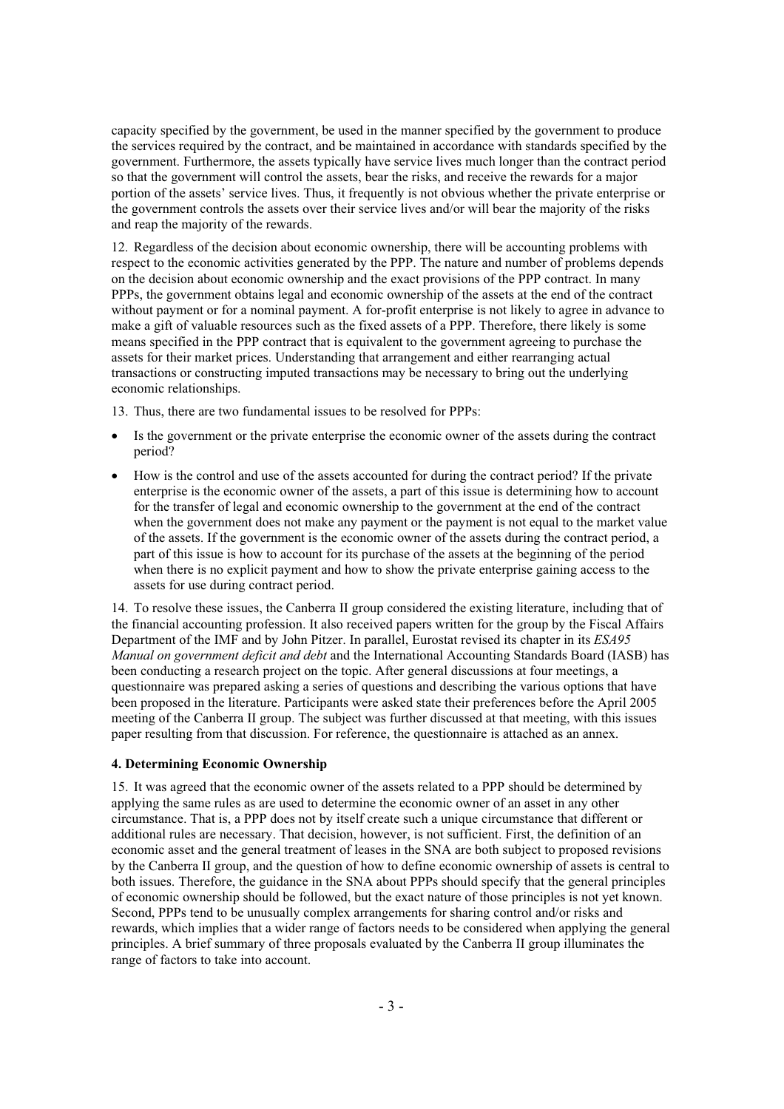capacity specified by the government, be used in the manner specified by the government to produce the services required by the contract, and be maintained in accordance with standards specified by the government. Furthermore, the assets typically have service lives much longer than the contract period so that the government will control the assets, bear the risks, and receive the rewards for a major portion of the assets' service lives. Thus, it frequently is not obvious whether the private enterprise or the government controls the assets over their service lives and/or will bear the majority of the risks and reap the majority of the rewards.

12. Regardless of the decision about economic ownership, there will be accounting problems with respect to the economic activities generated by the PPP. The nature and number of problems depends on the decision about economic ownership and the exact provisions of the PPP contract. In many PPPs, the government obtains legal and economic ownership of the assets at the end of the contract without payment or for a nominal payment. A for-profit enterprise is not likely to agree in advance to make a gift of valuable resources such as the fixed assets of a PPP. Therefore, there likely is some means specified in the PPP contract that is equivalent to the government agreeing to purchase the assets for their market prices. Understanding that arrangement and either rearranging actual transactions or constructing imputed transactions may be necessary to bring out the underlying economic relationships.

13. Thus, there are two fundamental issues to be resolved for PPPs:

- Is the government or the private enterprise the economic owner of the assets during the contract period?
- How is the control and use of the assets accounted for during the contract period? If the private enterprise is the economic owner of the assets, a part of this issue is determining how to account for the transfer of legal and economic ownership to the government at the end of the contract when the government does not make any payment or the payment is not equal to the market value of the assets. If the government is the economic owner of the assets during the contract period, a part of this issue is how to account for its purchase of the assets at the beginning of the period when there is no explicit payment and how to show the private enterprise gaining access to the assets for use during contract period.

14. To resolve these issues, the Canberra II group considered the existing literature, including that of the financial accounting profession. It also received papers written for the group by the Fiscal Affairs Department of the IMF and by John Pitzer. In parallel, Eurostat revised its chapter in its *ESA95 Manual on government deficit and debt* and the International Accounting Standards Board (IASB) has been conducting a research project on the topic. After general discussions at four meetings, a questionnaire was prepared asking a series of questions and describing the various options that have been proposed in the literature. Participants were asked state their preferences before the April 2005 meeting of the Canberra II group. The subject was further discussed at that meeting, with this issues paper resulting from that discussion. For reference, the questionnaire is attached as an annex.

#### **4. Determining Economic Ownership**

15. It was agreed that the economic owner of the assets related to a PPP should be determined by applying the same rules as are used to determine the economic owner of an asset in any other circumstance. That is, a PPP does not by itself create such a unique circumstance that different or additional rules are necessary. That decision, however, is not sufficient. First, the definition of an economic asset and the general treatment of leases in the SNA are both subject to proposed revisions by the Canberra II group, and the question of how to define economic ownership of assets is central to both issues. Therefore, the guidance in the SNA about PPPs should specify that the general principles of economic ownership should be followed, but the exact nature of those principles is not yet known. Second, PPPs tend to be unusually complex arrangements for sharing control and/or risks and rewards, which implies that a wider range of factors needs to be considered when applying the general principles. A brief summary of three proposals evaluated by the Canberra II group illuminates the range of factors to take into account.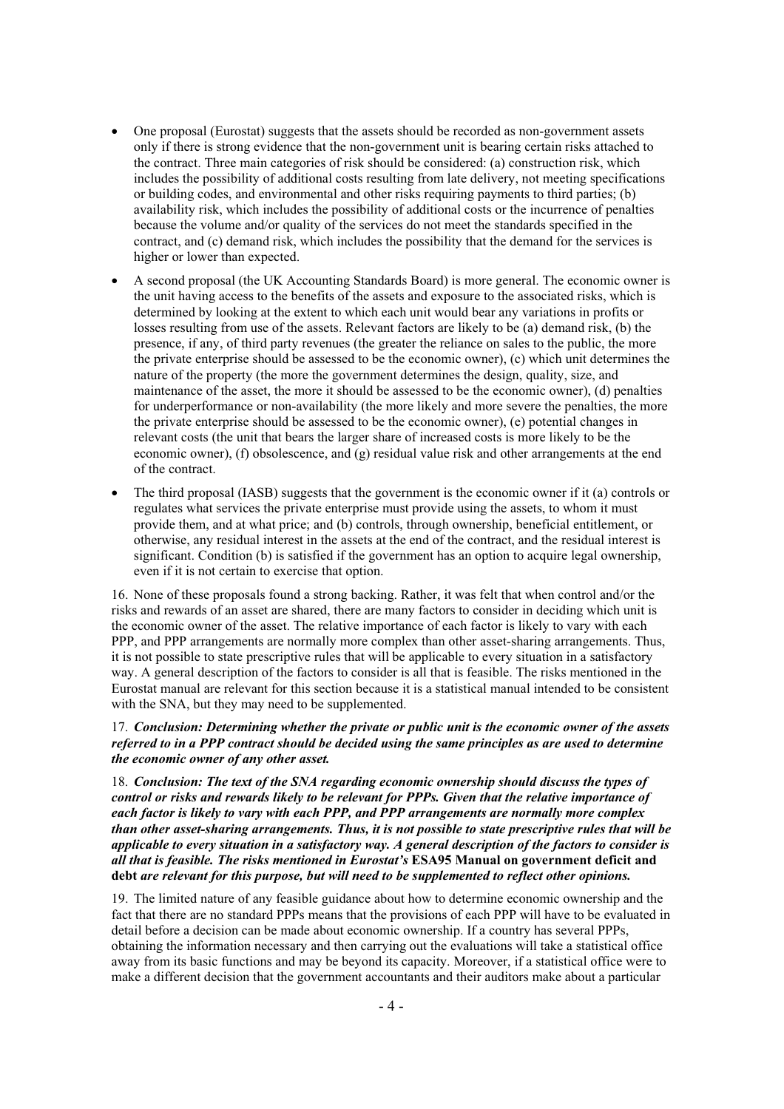- One proposal (Eurostat) suggests that the assets should be recorded as non-government assets only if there is strong evidence that the non-government unit is bearing certain risks attached to the contract. Three main categories of risk should be considered: (a) construction risk, which includes the possibility of additional costs resulting from late delivery, not meeting specifications or building codes, and environmental and other risks requiring payments to third parties; (b) availability risk, which includes the possibility of additional costs or the incurrence of penalties because the volume and/or quality of the services do not meet the standards specified in the contract, and (c) demand risk, which includes the possibility that the demand for the services is higher or lower than expected.
- x A second proposal (the UK Accounting Standards Board) is more general. The economic owner is the unit having access to the benefits of the assets and exposure to the associated risks, which is determined by looking at the extent to which each unit would bear any variations in profits or losses resulting from use of the assets. Relevant factors are likely to be (a) demand risk, (b) the presence, if any, of third party revenues (the greater the reliance on sales to the public, the more the private enterprise should be assessed to be the economic owner), (c) which unit determines the nature of the property (the more the government determines the design, quality, size, and maintenance of the asset, the more it should be assessed to be the economic owner), (d) penalties for underperformance or non-availability (the more likely and more severe the penalties, the more the private enterprise should be assessed to be the economic owner), (e) potential changes in relevant costs (the unit that bears the larger share of increased costs is more likely to be the economic owner), (f) obsolescence, and (g) residual value risk and other arrangements at the end of the contract.
- The third proposal (IASB) suggests that the government is the economic owner if it (a) controls or regulates what services the private enterprise must provide using the assets, to whom it must provide them, and at what price; and (b) controls, through ownership, beneficial entitlement, or otherwise, any residual interest in the assets at the end of the contract, and the residual interest is significant. Condition (b) is satisfied if the government has an option to acquire legal ownership, even if it is not certain to exercise that option.

16. None of these proposals found a strong backing. Rather, it was felt that when control and/or the risks and rewards of an asset are shared, there are many factors to consider in deciding which unit is the economic owner of the asset. The relative importance of each factor is likely to vary with each PPP, and PPP arrangements are normally more complex than other asset-sharing arrangements. Thus, it is not possible to state prescriptive rules that will be applicable to every situation in a satisfactory way. A general description of the factors to consider is all that is feasible. The risks mentioned in the Eurostat manual are relevant for this section because it is a statistical manual intended to be consistent with the SNA, but they may need to be supplemented.

17. *Conclusion: Determining whether the private or public unit is the economic owner of the assets referred to in a PPP contract should be decided using the same principles as are used to determine the economic owner of any other asset.*

18. *Conclusion: The text of the SNA regarding economic ownership should discuss the types of control or risks and rewards likely to be relevant for PPPs. Given that the relative importance of each factor is likely to vary with each PPP, and PPP arrangements are normally more complex than other asset-sharing arrangements. Thus, it is not possible to state prescriptive rules that will be applicable to every situation in a satisfactory way. A general description of the factors to consider is all that is feasible. The risks mentioned in Eurostat's* **ESA95 Manual on government deficit and debt** *are relevant for this purpose, but will need to be supplemented to reflect other opinions.*

19. The limited nature of any feasible guidance about how to determine economic ownership and the fact that there are no standard PPPs means that the provisions of each PPP will have to be evaluated in detail before a decision can be made about economic ownership. If a country has several PPPs, obtaining the information necessary and then carrying out the evaluations will take a statistical office away from its basic functions and may be beyond its capacity. Moreover, if a statistical office were to make a different decision that the government accountants and their auditors make about a particular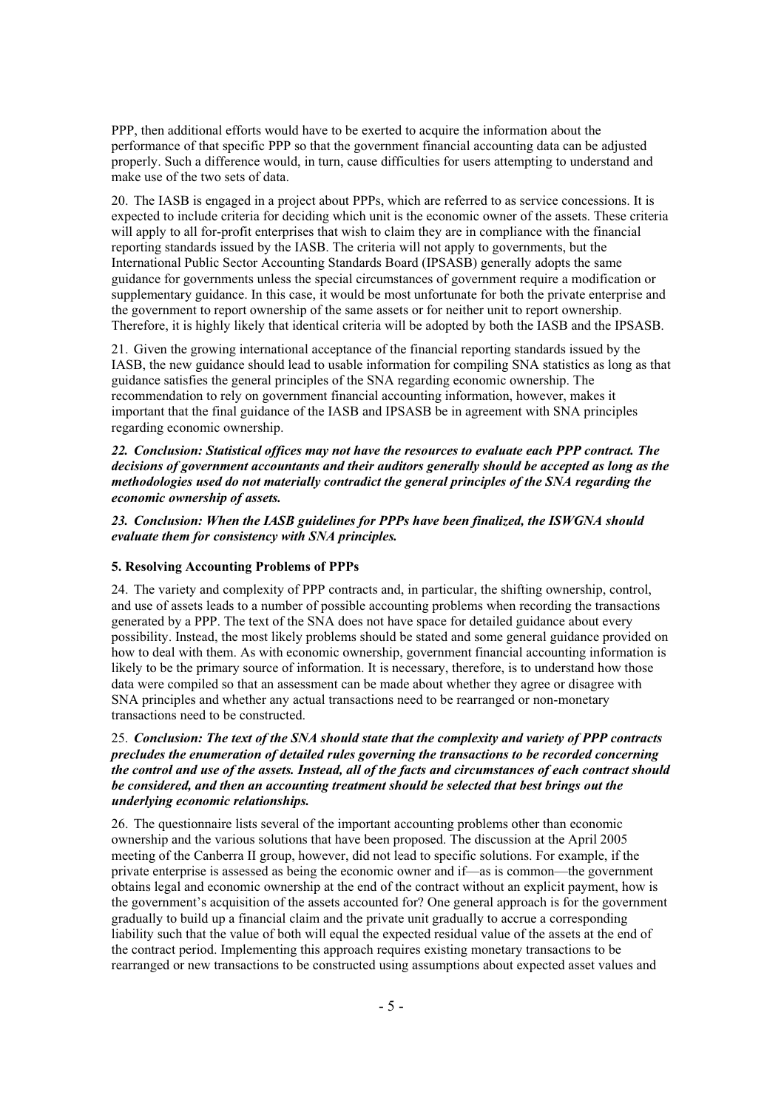PPP, then additional efforts would have to be exerted to acquire the information about the performance of that specific PPP so that the government financial accounting data can be adjusted properly. Such a difference would, in turn, cause difficulties for users attempting to understand and make use of the two sets of data.

20. The IASB is engaged in a project about PPPs, which are referred to as service concessions. It is expected to include criteria for deciding which unit is the economic owner of the assets. These criteria will apply to all for-profit enterprises that wish to claim they are in compliance with the financial reporting standards issued by the IASB. The criteria will not apply to governments, but the International Public Sector Accounting Standards Board (IPSASB) generally adopts the same guidance for governments unless the special circumstances of government require a modification or supplementary guidance. In this case, it would be most unfortunate for both the private enterprise and the government to report ownership of the same assets or for neither unit to report ownership. Therefore, it is highly likely that identical criteria will be adopted by both the IASB and the IPSASB.

21. Given the growing international acceptance of the financial reporting standards issued by the IASB, the new guidance should lead to usable information for compiling SNA statistics as long as that guidance satisfies the general principles of the SNA regarding economic ownership. The recommendation to rely on government financial accounting information, however, makes it important that the final guidance of the IASB and IPSASB be in agreement with SNA principles regarding economic ownership.

*22. Conclusion: Statistical offices may not have the resources to evaluate each PPP contract. The decisions of government accountants and their auditors generally should be accepted as long as the methodologies used do not materially contradict the general principles of the SNA regarding the economic ownership of assets.* 

*23. Conclusion: When the IASB guidelines for PPPs have been finalized, the ISWGNA should evaluate them for consistency with SNA principles.* 

#### **5. Resolving Accounting Problems of PPPs**

24. The variety and complexity of PPP contracts and, in particular, the shifting ownership, control, and use of assets leads to a number of possible accounting problems when recording the transactions generated by a PPP. The text of the SNA does not have space for detailed guidance about every possibility. Instead, the most likely problems should be stated and some general guidance provided on how to deal with them. As with economic ownership, government financial accounting information is likely to be the primary source of information. It is necessary, therefore, is to understand how those data were compiled so that an assessment can be made about whether they agree or disagree with SNA principles and whether any actual transactions need to be rearranged or non-monetary transactions need to be constructed.

## 25. *Conclusion: The text of the SNA should state that the complexity and variety of PPP contracts precludes the enumeration of detailed rules governing the transactions to be recorded concerning the control and use of the assets. Instead, all of the facts and circumstances of each contract should be considered, and then an accounting treatment should be selected that best brings out the underlying economic relationships.*

26. The questionnaire lists several of the important accounting problems other than economic ownership and the various solutions that have been proposed. The discussion at the April 2005 meeting of the Canberra II group, however, did not lead to specific solutions. For example, if the private enterprise is assessed as being the economic owner and if—as is common—the government obtains legal and economic ownership at the end of the contract without an explicit payment, how is the government's acquisition of the assets accounted for? One general approach is for the government gradually to build up a financial claim and the private unit gradually to accrue a corresponding liability such that the value of both will equal the expected residual value of the assets at the end of the contract period. Implementing this approach requires existing monetary transactions to be rearranged or new transactions to be constructed using assumptions about expected asset values and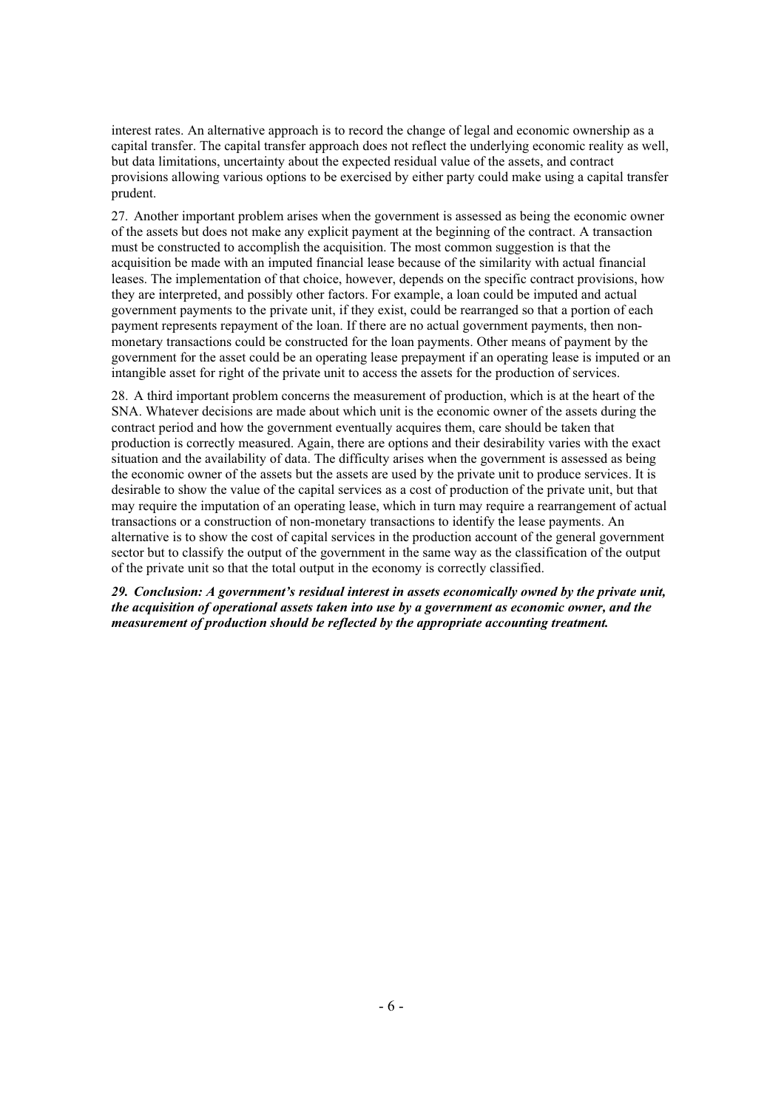interest rates. An alternative approach is to record the change of legal and economic ownership as a capital transfer. The capital transfer approach does not reflect the underlying economic reality as well, but data limitations, uncertainty about the expected residual value of the assets, and contract provisions allowing various options to be exercised by either party could make using a capital transfer prudent.

27. Another important problem arises when the government is assessed as being the economic owner of the assets but does not make any explicit payment at the beginning of the contract. A transaction must be constructed to accomplish the acquisition. The most common suggestion is that the acquisition be made with an imputed financial lease because of the similarity with actual financial leases. The implementation of that choice, however, depends on the specific contract provisions, how they are interpreted, and possibly other factors. For example, a loan could be imputed and actual government payments to the private unit, if they exist, could be rearranged so that a portion of each payment represents repayment of the loan. If there are no actual government payments, then nonmonetary transactions could be constructed for the loan payments. Other means of payment by the government for the asset could be an operating lease prepayment if an operating lease is imputed or an intangible asset for right of the private unit to access the assets for the production of services.

28. A third important problem concerns the measurement of production, which is at the heart of the SNA. Whatever decisions are made about which unit is the economic owner of the assets during the contract period and how the government eventually acquires them, care should be taken that production is correctly measured. Again, there are options and their desirability varies with the exact situation and the availability of data. The difficulty arises when the government is assessed as being the economic owner of the assets but the assets are used by the private unit to produce services. It is desirable to show the value of the capital services as a cost of production of the private unit, but that may require the imputation of an operating lease, which in turn may require a rearrangement of actual transactions or a construction of non-monetary transactions to identify the lease payments. An alternative is to show the cost of capital services in the production account of the general government sector but to classify the output of the government in the same way as the classification of the output of the private unit so that the total output in the economy is correctly classified.

*29. Conclusion: A government's residual interest in assets economically owned by the private unit, the acquisition of operational assets taken into use by a government as economic owner, and the measurement of production should be reflected by the appropriate accounting treatment.*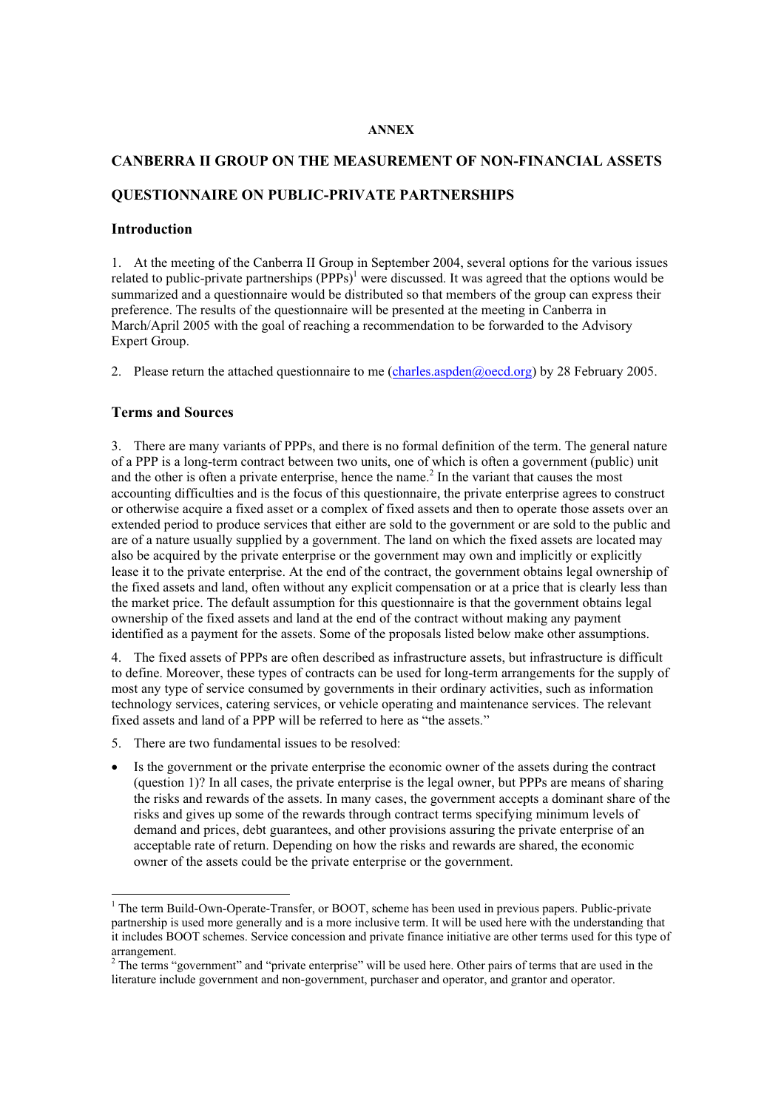#### **ANNEX**

#### **CANBERRA II GROUP ON THE MEASUREMENT OF NON-FINANCIAL ASSETS**

## **QUESTIONNAIRE ON PUBLIC-PRIVATE PARTNERSHIPS**

#### **Introduction**

1. At the meeting of the Canberra II Group in September 2004, several options for the various issues related to public-private partnerships  $(PPPs)^{1}$  were discussed. It was agreed that the options would be summarized and a questionnaire would be distributed so that members of the group can express their preference. The results of the questionnaire will be presented at the meeting in Canberra in March/April 2005 with the goal of reaching a recommendation to be forwarded to the Advisory Expert Group.

2. Please return the attached questionnaire to me (charles.aspden@oecd.org) by 28 February 2005.

## **Terms and Sources**

3. There are many variants of PPPs, and there is no formal definition of the term. The general nature of a PPP is a long-term contract between two units, one of which is often a government (public) unit and the other is often a private enterprise, hence the name.<sup>2</sup> In the variant that causes the most accounting difficulties and is the focus of this questionnaire, the private enterprise agrees to construct or otherwise acquire a fixed asset or a complex of fixed assets and then to operate those assets over an extended period to produce services that either are sold to the government or are sold to the public and are of a nature usually supplied by a government. The land on which the fixed assets are located may also be acquired by the private enterprise or the government may own and implicitly or explicitly lease it to the private enterprise. At the end of the contract, the government obtains legal ownership of the fixed assets and land, often without any explicit compensation or at a price that is clearly less than the market price. The default assumption for this questionnaire is that the government obtains legal ownership of the fixed assets and land at the end of the contract without making any payment identified as a payment for the assets. Some of the proposals listed below make other assumptions.

4. The fixed assets of PPPs are often described as infrastructure assets, but infrastructure is difficult to define. Moreover, these types of contracts can be used for long-term arrangements for the supply of most any type of service consumed by governments in their ordinary activities, such as information technology services, catering services, or vehicle operating and maintenance services. The relevant fixed assets and land of a PPP will be referred to here as "the assets."

- 5. There are two fundamental issues to be resolved:
- Is the government or the private enterprise the economic owner of the assets during the contract (question 1)? In all cases, the private enterprise is the legal owner, but PPPs are means of sharing the risks and rewards of the assets. In many cases, the government accepts a dominant share of the risks and gives up some of the rewards through contract terms specifying minimum levels of demand and prices, debt guarantees, and other provisions assuring the private enterprise of an acceptable rate of return. Depending on how the risks and rewards are shared, the economic owner of the assets could be the private enterprise or the government.

<sup>&</sup>lt;sup>1</sup> The term Build-Own-Operate-Transfer, or BOOT, scheme has been used in previous papers. Public-private partnership is used more generally and is a more inclusive term. It will be used here with the understanding that it includes BOOT schemes. Service concession and private finance initiative are other terms used for this type of arrangement.

 $2^{2}$  The terms "government" and "private enterprise" will be used here. Other pairs of terms that are used in the literature include government and non-government, purchaser and operator, and grantor and operator.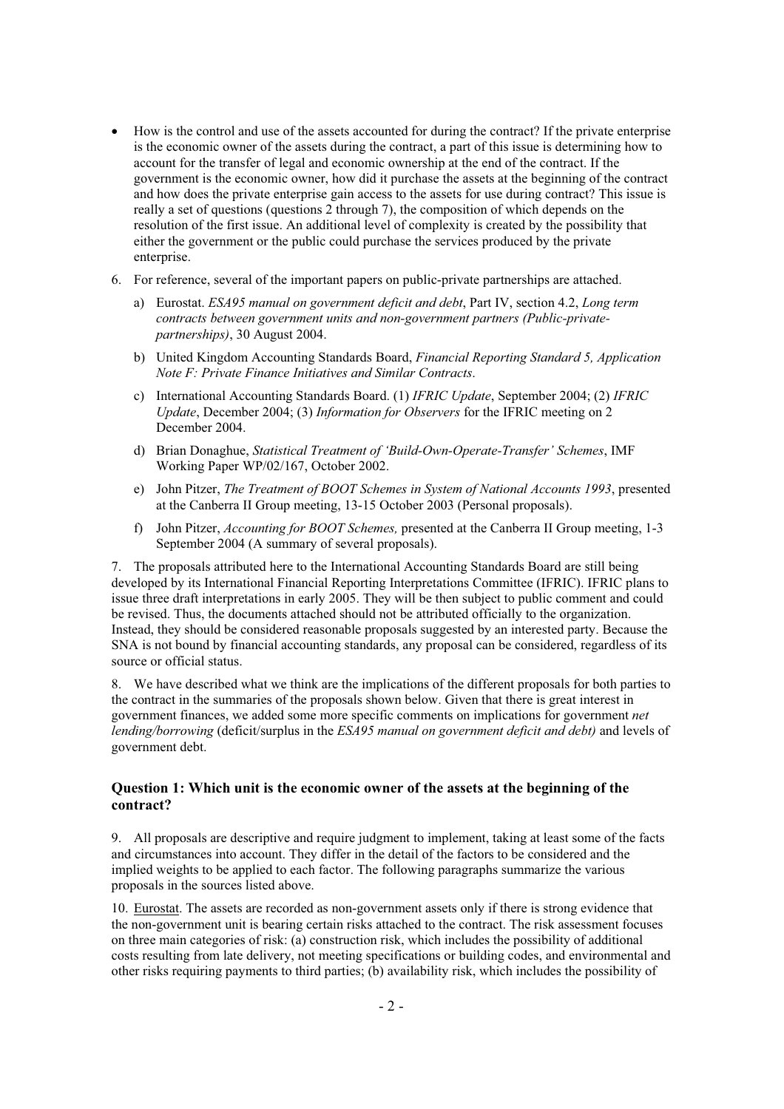- x How is the control and use of the assets accounted for during the contract? If the private enterprise is the economic owner of the assets during the contract, a part of this issue is determining how to account for the transfer of legal and economic ownership at the end of the contract. If the government is the economic owner, how did it purchase the assets at the beginning of the contract and how does the private enterprise gain access to the assets for use during contract? This issue is really a set of questions (questions 2 through 7), the composition of which depends on the resolution of the first issue. An additional level of complexity is created by the possibility that either the government or the public could purchase the services produced by the private enterprise.
- 6. For reference, several of the important papers on public-private partnerships are attached.
	- a) Eurostat. *ESA95 manual on government deficit and debt*, Part IV, section 4.2, *Long term contracts between government units and non-government partners (Public-privatepartnerships)*, 30 August 2004.
	- b) United Kingdom Accounting Standards Board, *Financial Reporting Standard 5, Application Note F: Private Finance Initiatives and Similar Contracts*.
	- c) International Accounting Standards Board. (1) *IFRIC Update*, September 2004; (2) *IFRIC Update*, December 2004; (3) *Information for Observers* for the IFRIC meeting on 2 December 2004.
	- d) Brian Donaghue, *Statistical Treatment of 'Build-Own-Operate-Transfer' Schemes*, IMF Working Paper WP/02/167, October 2002.
	- e) John Pitzer, *The Treatment of BOOT Schemes in System of National Accounts 1993*, presented at the Canberra II Group meeting, 13-15 October 2003 (Personal proposals).
	- f) John Pitzer, *Accounting for BOOT Schemes,* presented at the Canberra II Group meeting, 1-3 September 2004 (A summary of several proposals).

7. The proposals attributed here to the International Accounting Standards Board are still being developed by its International Financial Reporting Interpretations Committee (IFRIC). IFRIC plans to issue three draft interpretations in early 2005. They will be then subject to public comment and could be revised. Thus, the documents attached should not be attributed officially to the organization. Instead, they should be considered reasonable proposals suggested by an interested party. Because the SNA is not bound by financial accounting standards, any proposal can be considered, regardless of its source or official status.

8. We have described what we think are the implications of the different proposals for both parties to the contract in the summaries of the proposals shown below. Given that there is great interest in government finances, we added some more specific comments on implications for government *net lending/borrowing* (deficit/surplus in the *ESA95 manual on government deficit and debt)* and levels of government debt.

## **Question 1: Which unit is the economic owner of the assets at the beginning of the contract?**

9. All proposals are descriptive and require judgment to implement, taking at least some of the facts and circumstances into account. They differ in the detail of the factors to be considered and the implied weights to be applied to each factor. The following paragraphs summarize the various proposals in the sources listed above.

10. Eurostat. The assets are recorded as non-government assets only if there is strong evidence that the non-government unit is bearing certain risks attached to the contract. The risk assessment focuses on three main categories of risk: (a) construction risk, which includes the possibility of additional costs resulting from late delivery, not meeting specifications or building codes, and environmental and other risks requiring payments to third parties; (b) availability risk, which includes the possibility of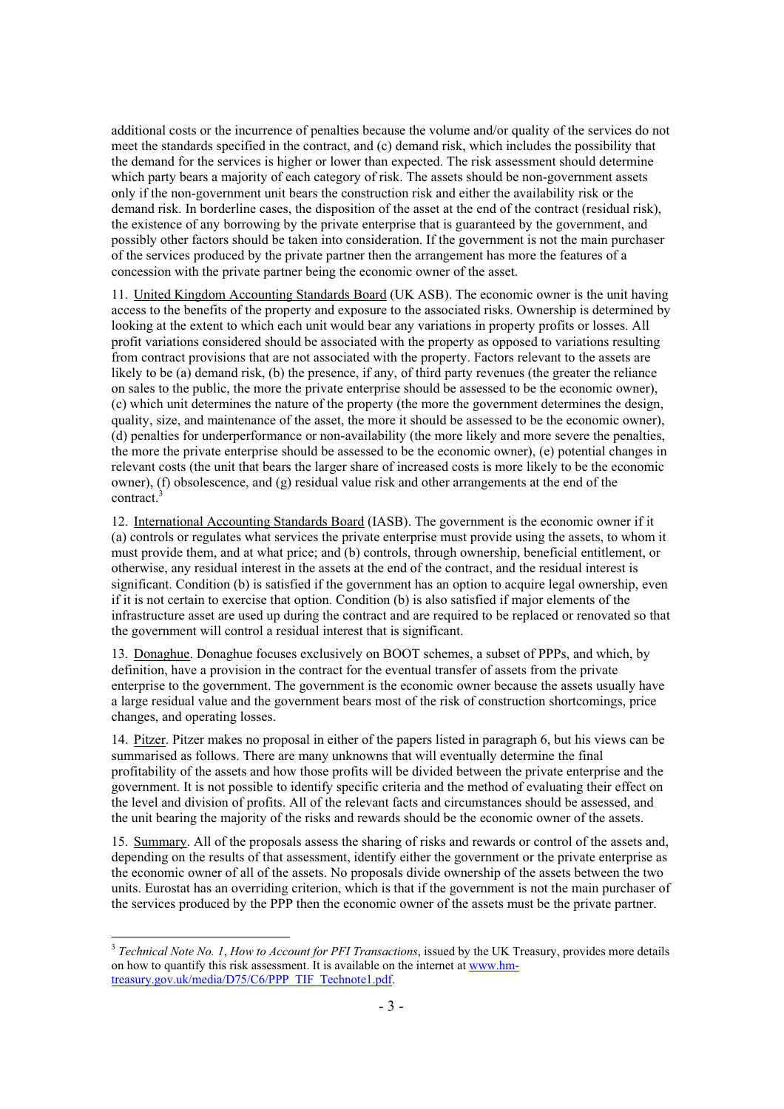additional costs or the incurrence of penalties because the volume and/or quality of the services do not meet the standards specified in the contract, and (c) demand risk, which includes the possibility that the demand for the services is higher or lower than expected. The risk assessment should determine which party bears a majority of each category of risk. The assets should be non-government assets only if the non-government unit bears the construction risk and either the availability risk or the demand risk. In borderline cases, the disposition of the asset at the end of the contract (residual risk), the existence of any borrowing by the private enterprise that is guaranteed by the government, and possibly other factors should be taken into consideration. If the government is not the main purchaser of the services produced by the private partner then the arrangement has more the features of a concession with the private partner being the economic owner of the asset.

11. United Kingdom Accounting Standards Board (UK ASB). The economic owner is the unit having access to the benefits of the property and exposure to the associated risks. Ownership is determined by looking at the extent to which each unit would bear any variations in property profits or losses. All profit variations considered should be associated with the property as opposed to variations resulting from contract provisions that are not associated with the property. Factors relevant to the assets are likely to be (a) demand risk, (b) the presence, if any, of third party revenues (the greater the reliance on sales to the public, the more the private enterprise should be assessed to be the economic owner), (c) which unit determines the nature of the property (the more the government determines the design, quality, size, and maintenance of the asset, the more it should be assessed to be the economic owner), (d) penalties for underperformance or non-availability (the more likely and more severe the penalties, the more the private enterprise should be assessed to be the economic owner), (e) potential changes in relevant costs (the unit that bears the larger share of increased costs is more likely to be the economic owner), (f) obsolescence, and (g) residual value risk and other arrangements at the end of the contract.<sup>3</sup>

12. International Accounting Standards Board (IASB). The government is the economic owner if it (a) controls or regulates what services the private enterprise must provide using the assets, to whom it must provide them, and at what price; and (b) controls, through ownership, beneficial entitlement, or otherwise, any residual interest in the assets at the end of the contract, and the residual interest is significant. Condition (b) is satisfied if the government has an option to acquire legal ownership, even if it is not certain to exercise that option. Condition (b) is also satisfied if major elements of the infrastructure asset are used up during the contract and are required to be replaced or renovated so that the government will control a residual interest that is significant.

13. Donaghue. Donaghue focuses exclusively on BOOT schemes, a subset of PPPs, and which, by definition, have a provision in the contract for the eventual transfer of assets from the private enterprise to the government. The government is the economic owner because the assets usually have a large residual value and the government bears most of the risk of construction shortcomings, price changes, and operating losses.

14. Pitzer. Pitzer makes no proposal in either of the papers listed in paragraph 6, but his views can be summarised as follows. There are many unknowns that will eventually determine the final profitability of the assets and how those profits will be divided between the private enterprise and the government. It is not possible to identify specific criteria and the method of evaluating their effect on the level and division of profits. All of the relevant facts and circumstances should be assessed, and the unit bearing the majority of the risks and rewards should be the economic owner of the assets.

15. Summary. All of the proposals assess the sharing of risks and rewards or control of the assets and, depending on the results of that assessment, identify either the government or the private enterprise as the economic owner of all of the assets. No proposals divide ownership of the assets between the two units. Eurostat has an overriding criterion, which is that if the government is not the main purchaser of the services produced by the PPP then the economic owner of the assets must be the private partner.

<sup>3</sup> *Technical Note No. 1*, *How to Account for PFI Transactions*, issued by the UK Treasury, provides more details on how to quantify this risk assessment. It is available on the internet at www.hmtreasury.gov.uk/media/D75/C6/PPP\_TIF\_Technote1.pdf.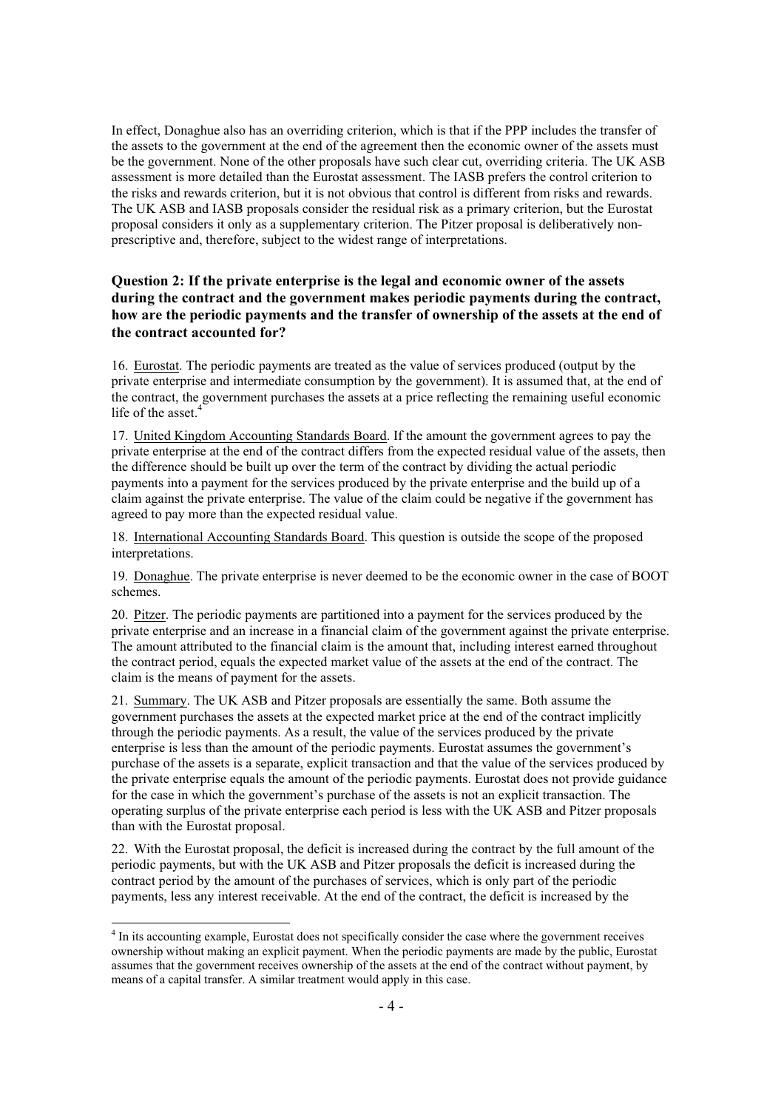In effect, Donaghue also has an overriding criterion, which is that if the PPP includes the transfer of the assets to the government at the end of the agreement then the economic owner of the assets must be the government. None of the other proposals have such clear cut, overriding criteria. The UK ASB assessment is more detailed than the Eurostat assessment. The IASB prefers the control criterion to the risks and rewards criterion, but it is not obvious that control is different from risks and rewards. The UK ASB and IASB proposals consider the residual risk as a primary criterion, but the Eurostat proposal considers it only as a supplementary criterion. The Pitzer proposal is deliberatively nonprescriptive and, therefore, subject to the widest range of interpretations.

## **Question 2: If the private enterprise is the legal and economic owner of the assets during the contract and the government makes periodic payments during the contract, how are the periodic payments and the transfer of ownership of the assets at the end of the contract accounted for?**

16. Eurostat. The periodic payments are treated as the value of services produced (output by the private enterprise and intermediate consumption by the government). It is assumed that, at the end of the contract, the government purchases the assets at a price reflecting the remaining useful economic life of the asset. $\frac{4}{3}$ 

17. United Kingdom Accounting Standards Board. If the amount the government agrees to pay the private enterprise at the end of the contract differs from the expected residual value of the assets, then the difference should be built up over the term of the contract by dividing the actual periodic payments into a payment for the services produced by the private enterprise and the build up of a claim against the private enterprise. The value of the claim could be negative if the government has agreed to pay more than the expected residual value.

18. International Accounting Standards Board. This question is outside the scope of the proposed interpretations.

19. Donaghue. The private enterprise is never deemed to be the economic owner in the case of BOOT schemes.

20. Pitzer. The periodic payments are partitioned into a payment for the services produced by the private enterprise and an increase in a financial claim of the government against the private enterprise. The amount attributed to the financial claim is the amount that, including interest earned throughout the contract period, equals the expected market value of the assets at the end of the contract. The claim is the means of payment for the assets.

21. Summary. The UK ASB and Pitzer proposals are essentially the same. Both assume the government purchases the assets at the expected market price at the end of the contract implicitly through the periodic payments. As a result, the value of the services produced by the private enterprise is less than the amount of the periodic payments. Eurostat assumes the government's purchase of the assets is a separate, explicit transaction and that the value of the services produced by the private enterprise equals the amount of the periodic payments. Eurostat does not provide guidance for the case in which the government's purchase of the assets is not an explicit transaction. The operating surplus of the private enterprise each period is less with the UK ASB and Pitzer proposals than with the Eurostat proposal.

22. With the Eurostat proposal, the deficit is increased during the contract by the full amount of the periodic payments, but with the UK ASB and Pitzer proposals the deficit is increased during the contract period by the amount of the purchases of services, which is only part of the periodic payments, less any interest receivable. At the end of the contract, the deficit is increased by the

<sup>&</sup>lt;sup>4</sup> In its accounting example, Eurostat does not specifically consider the case where the government receives ownership without making an explicit payment. When the periodic payments are made by the public, Eurostat assumes that the government receives ownership of the assets at the end of the contract without payment, by means of a capital transfer. A similar treatment would apply in this case.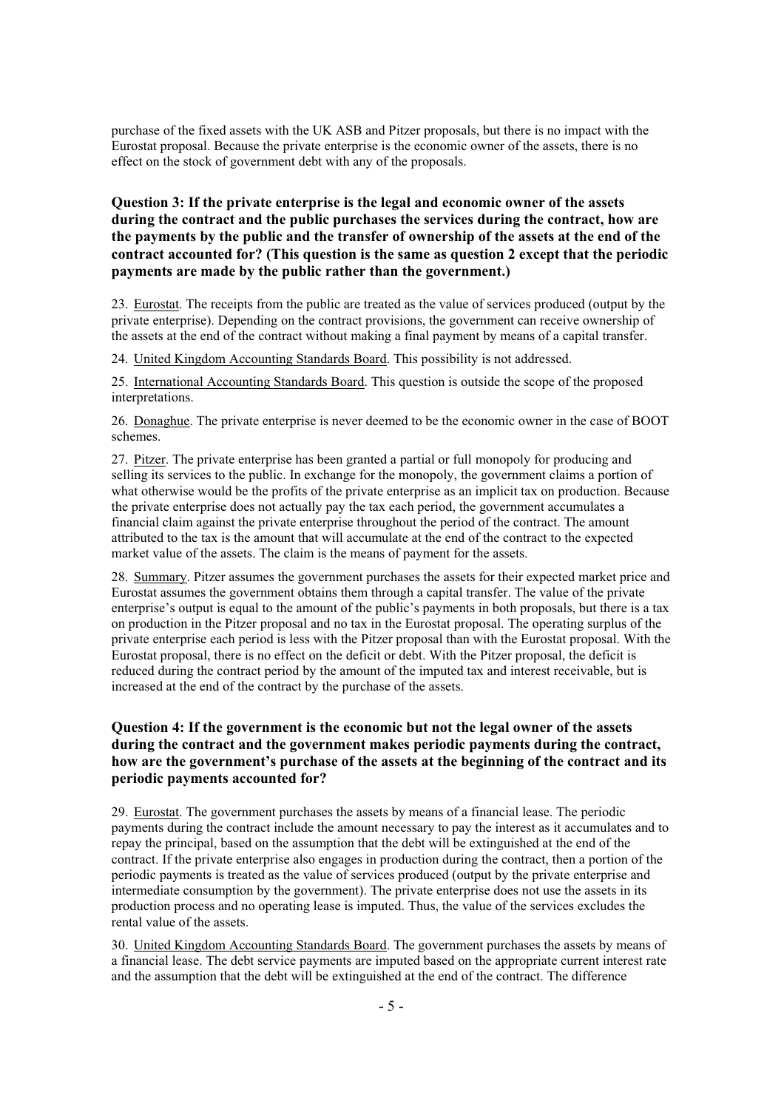purchase of the fixed assets with the UK ASB and Pitzer proposals, but there is no impact with the Eurostat proposal. Because the private enterprise is the economic owner of the assets, there is no effect on the stock of government debt with any of the proposals.

## **Question 3: If the private enterprise is the legal and economic owner of the assets during the contract and the public purchases the services during the contract, how are the payments by the public and the transfer of ownership of the assets at the end of the contract accounted for? (This question is the same as question 2 except that the periodic payments are made by the public rather than the government.)**

23. Eurostat. The receipts from the public are treated as the value of services produced (output by the private enterprise). Depending on the contract provisions, the government can receive ownership of the assets at the end of the contract without making a final payment by means of a capital transfer.

24. United Kingdom Accounting Standards Board. This possibility is not addressed.

25. International Accounting Standards Board. This question is outside the scope of the proposed interpretations.

26. Donaghue. The private enterprise is never deemed to be the economic owner in the case of BOOT schemes.

27. Pitzer. The private enterprise has been granted a partial or full monopoly for producing and selling its services to the public. In exchange for the monopoly, the government claims a portion of what otherwise would be the profits of the private enterprise as an implicit tax on production. Because the private enterprise does not actually pay the tax each period, the government accumulates a financial claim against the private enterprise throughout the period of the contract. The amount attributed to the tax is the amount that will accumulate at the end of the contract to the expected market value of the assets. The claim is the means of payment for the assets.

28. Summary. Pitzer assumes the government purchases the assets for their expected market price and Eurostat assumes the government obtains them through a capital transfer. The value of the private enterprise's output is equal to the amount of the public's payments in both proposals, but there is a tax on production in the Pitzer proposal and no tax in the Eurostat proposal. The operating surplus of the private enterprise each period is less with the Pitzer proposal than with the Eurostat proposal. With the Eurostat proposal, there is no effect on the deficit or debt. With the Pitzer proposal, the deficit is reduced during the contract period by the amount of the imputed tax and interest receivable, but is increased at the end of the contract by the purchase of the assets.

## **Question 4: If the government is the economic but not the legal owner of the assets during the contract and the government makes periodic payments during the contract, how are the government's purchase of the assets at the beginning of the contract and its periodic payments accounted for?**

29. Eurostat. The government purchases the assets by means of a financial lease. The periodic payments during the contract include the amount necessary to pay the interest as it accumulates and to repay the principal, based on the assumption that the debt will be extinguished at the end of the contract. If the private enterprise also engages in production during the contract, then a portion of the periodic payments is treated as the value of services produced (output by the private enterprise and intermediate consumption by the government). The private enterprise does not use the assets in its production process and no operating lease is imputed. Thus, the value of the services excludes the rental value of the assets.

30. United Kingdom Accounting Standards Board. The government purchases the assets by means of a financial lease. The debt service payments are imputed based on the appropriate current interest rate and the assumption that the debt will be extinguished at the end of the contract. The difference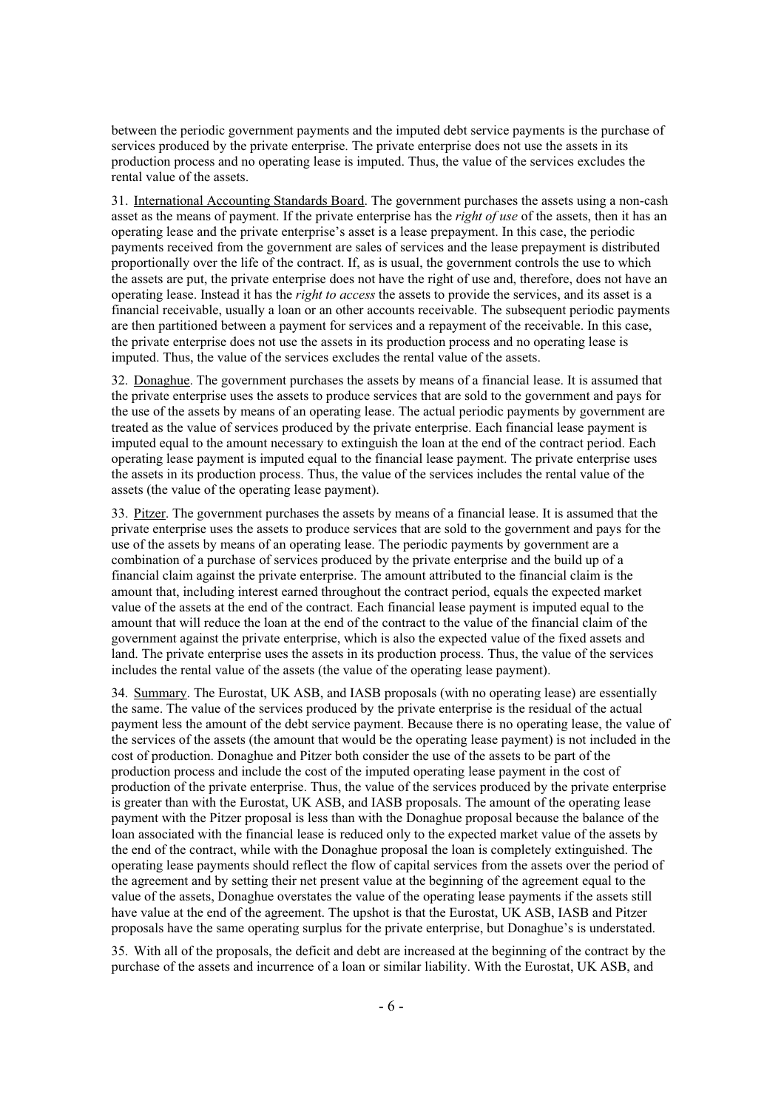between the periodic government payments and the imputed debt service payments is the purchase of services produced by the private enterprise. The private enterprise does not use the assets in its production process and no operating lease is imputed. Thus, the value of the services excludes the rental value of the assets.

31. International Accounting Standards Board. The government purchases the assets using a non-cash asset as the means of payment. If the private enterprise has the *right of use* of the assets, then it has an operating lease and the private enterprise's asset is a lease prepayment. In this case, the periodic payments received from the government are sales of services and the lease prepayment is distributed proportionally over the life of the contract. If, as is usual, the government controls the use to which the assets are put, the private enterprise does not have the right of use and, therefore, does not have an operating lease. Instead it has the *right to access* the assets to provide the services, and its asset is a financial receivable, usually a loan or an other accounts receivable. The subsequent periodic payments are then partitioned between a payment for services and a repayment of the receivable. In this case, the private enterprise does not use the assets in its production process and no operating lease is imputed. Thus, the value of the services excludes the rental value of the assets.

32. Donaghue. The government purchases the assets by means of a financial lease. It is assumed that the private enterprise uses the assets to produce services that are sold to the government and pays for the use of the assets by means of an operating lease. The actual periodic payments by government are treated as the value of services produced by the private enterprise. Each financial lease payment is imputed equal to the amount necessary to extinguish the loan at the end of the contract period. Each operating lease payment is imputed equal to the financial lease payment. The private enterprise uses the assets in its production process. Thus, the value of the services includes the rental value of the assets (the value of the operating lease payment).

33. Pitzer. The government purchases the assets by means of a financial lease. It is assumed that the private enterprise uses the assets to produce services that are sold to the government and pays for the use of the assets by means of an operating lease. The periodic payments by government are a combination of a purchase of services produced by the private enterprise and the build up of a financial claim against the private enterprise. The amount attributed to the financial claim is the amount that, including interest earned throughout the contract period, equals the expected market value of the assets at the end of the contract. Each financial lease payment is imputed equal to the amount that will reduce the loan at the end of the contract to the value of the financial claim of the government against the private enterprise, which is also the expected value of the fixed assets and land. The private enterprise uses the assets in its production process. Thus, the value of the services includes the rental value of the assets (the value of the operating lease payment).

34. Summary. The Eurostat, UK ASB, and IASB proposals (with no operating lease) are essentially the same. The value of the services produced by the private enterprise is the residual of the actual payment less the amount of the debt service payment. Because there is no operating lease, the value of the services of the assets (the amount that would be the operating lease payment) is not included in the cost of production. Donaghue and Pitzer both consider the use of the assets to be part of the production process and include the cost of the imputed operating lease payment in the cost of production of the private enterprise. Thus, the value of the services produced by the private enterprise is greater than with the Eurostat, UK ASB, and IASB proposals. The amount of the operating lease payment with the Pitzer proposal is less than with the Donaghue proposal because the balance of the loan associated with the financial lease is reduced only to the expected market value of the assets by the end of the contract, while with the Donaghue proposal the loan is completely extinguished. The operating lease payments should reflect the flow of capital services from the assets over the period of the agreement and by setting their net present value at the beginning of the agreement equal to the value of the assets, Donaghue overstates the value of the operating lease payments if the assets still have value at the end of the agreement. The upshot is that the Eurostat, UK ASB, IASB and Pitzer proposals have the same operating surplus for the private enterprise, but Donaghue's is understated.

35. With all of the proposals, the deficit and debt are increased at the beginning of the contract by the purchase of the assets and incurrence of a loan or similar liability. With the Eurostat, UK ASB, and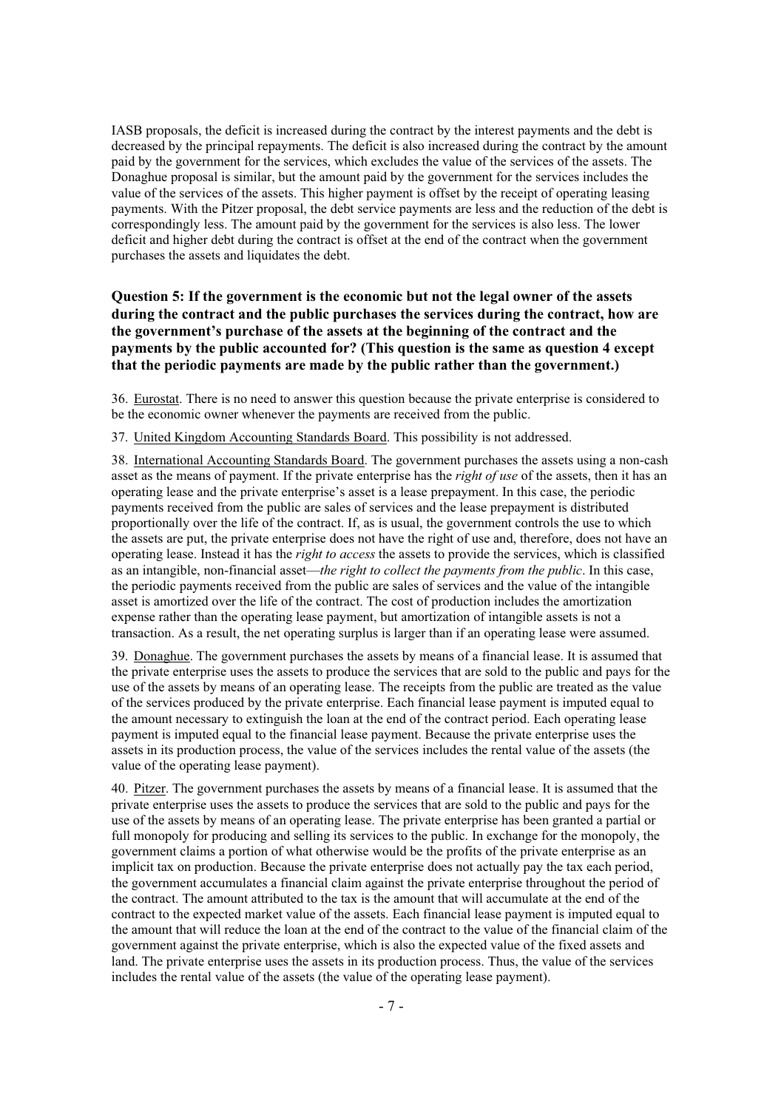IASB proposals, the deficit is increased during the contract by the interest payments and the debt is decreased by the principal repayments. The deficit is also increased during the contract by the amount paid by the government for the services, which excludes the value of the services of the assets. The Donaghue proposal is similar, but the amount paid by the government for the services includes the value of the services of the assets. This higher payment is offset by the receipt of operating leasing payments. With the Pitzer proposal, the debt service payments are less and the reduction of the debt is correspondingly less. The amount paid by the government for the services is also less. The lower deficit and higher debt during the contract is offset at the end of the contract when the government purchases the assets and liquidates the debt.

## **Question 5: If the government is the economic but not the legal owner of the assets during the contract and the public purchases the services during the contract, how are the government's purchase of the assets at the beginning of the contract and the payments by the public accounted for? (This question is the same as question 4 except that the periodic payments are made by the public rather than the government.)**

36. Eurostat. There is no need to answer this question because the private enterprise is considered to be the economic owner whenever the payments are received from the public.

37. United Kingdom Accounting Standards Board. This possibility is not addressed.

38. International Accounting Standards Board. The government purchases the assets using a non-cash asset as the means of payment. If the private enterprise has the *right of use* of the assets, then it has an operating lease and the private enterprise's asset is a lease prepayment. In this case, the periodic payments received from the public are sales of services and the lease prepayment is distributed proportionally over the life of the contract. If, as is usual, the government controls the use to which the assets are put, the private enterprise does not have the right of use and, therefore, does not have an operating lease. Instead it has the *right to access* the assets to provide the services, which is classified as an intangible, non-financial asset—*the right to collect the payments from the public*. In this case, the periodic payments received from the public are sales of services and the value of the intangible asset is amortized over the life of the contract. The cost of production includes the amortization expense rather than the operating lease payment, but amortization of intangible assets is not a transaction. As a result, the net operating surplus is larger than if an operating lease were assumed.

39. Donaghue. The government purchases the assets by means of a financial lease. It is assumed that the private enterprise uses the assets to produce the services that are sold to the public and pays for the use of the assets by means of an operating lease. The receipts from the public are treated as the value of the services produced by the private enterprise. Each financial lease payment is imputed equal to the amount necessary to extinguish the loan at the end of the contract period. Each operating lease payment is imputed equal to the financial lease payment. Because the private enterprise uses the assets in its production process, the value of the services includes the rental value of the assets (the value of the operating lease payment).

40. Pitzer. The government purchases the assets by means of a financial lease. It is assumed that the private enterprise uses the assets to produce the services that are sold to the public and pays for the use of the assets by means of an operating lease. The private enterprise has been granted a partial or full monopoly for producing and selling its services to the public. In exchange for the monopoly, the government claims a portion of what otherwise would be the profits of the private enterprise as an implicit tax on production. Because the private enterprise does not actually pay the tax each period, the government accumulates a financial claim against the private enterprise throughout the period of the contract. The amount attributed to the tax is the amount that will accumulate at the end of the contract to the expected market value of the assets. Each financial lease payment is imputed equal to the amount that will reduce the loan at the end of the contract to the value of the financial claim of the government against the private enterprise, which is also the expected value of the fixed assets and land. The private enterprise uses the assets in its production process. Thus, the value of the services includes the rental value of the assets (the value of the operating lease payment).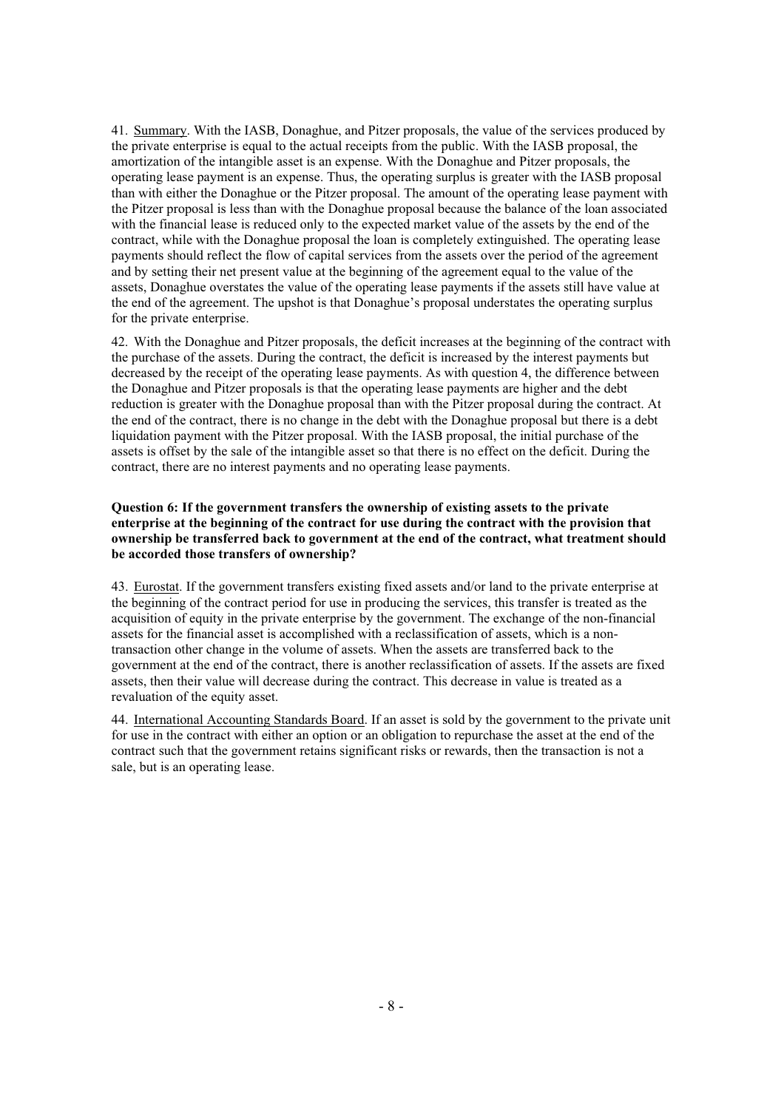41. Summary. With the IASB, Donaghue, and Pitzer proposals, the value of the services produced by the private enterprise is equal to the actual receipts from the public. With the IASB proposal, the amortization of the intangible asset is an expense. With the Donaghue and Pitzer proposals, the operating lease payment is an expense. Thus, the operating surplus is greater with the IASB proposal than with either the Donaghue or the Pitzer proposal. The amount of the operating lease payment with the Pitzer proposal is less than with the Donaghue proposal because the balance of the loan associated with the financial lease is reduced only to the expected market value of the assets by the end of the contract, while with the Donaghue proposal the loan is completely extinguished. The operating lease payments should reflect the flow of capital services from the assets over the period of the agreement and by setting their net present value at the beginning of the agreement equal to the value of the assets, Donaghue overstates the value of the operating lease payments if the assets still have value at the end of the agreement. The upshot is that Donaghue's proposal understates the operating surplus for the private enterprise.

42. With the Donaghue and Pitzer proposals, the deficit increases at the beginning of the contract with the purchase of the assets. During the contract, the deficit is increased by the interest payments but decreased by the receipt of the operating lease payments. As with question 4, the difference between the Donaghue and Pitzer proposals is that the operating lease payments are higher and the debt reduction is greater with the Donaghue proposal than with the Pitzer proposal during the contract. At the end of the contract, there is no change in the debt with the Donaghue proposal but there is a debt liquidation payment with the Pitzer proposal. With the IASB proposal, the initial purchase of the assets is offset by the sale of the intangible asset so that there is no effect on the deficit. During the contract, there are no interest payments and no operating lease payments.

## **Question 6: If the government transfers the ownership of existing assets to the private enterprise at the beginning of the contract for use during the contract with the provision that ownership be transferred back to government at the end of the contract, what treatment should be accorded those transfers of ownership?**

43. Eurostat. If the government transfers existing fixed assets and/or land to the private enterprise at the beginning of the contract period for use in producing the services, this transfer is treated as the acquisition of equity in the private enterprise by the government. The exchange of the non-financial assets for the financial asset is accomplished with a reclassification of assets, which is a nontransaction other change in the volume of assets. When the assets are transferred back to the government at the end of the contract, there is another reclassification of assets. If the assets are fixed assets, then their value will decrease during the contract. This decrease in value is treated as a revaluation of the equity asset.

44. International Accounting Standards Board. If an asset is sold by the government to the private unit for use in the contract with either an option or an obligation to repurchase the asset at the end of the contract such that the government retains significant risks or rewards, then the transaction is not a sale, but is an operating lease.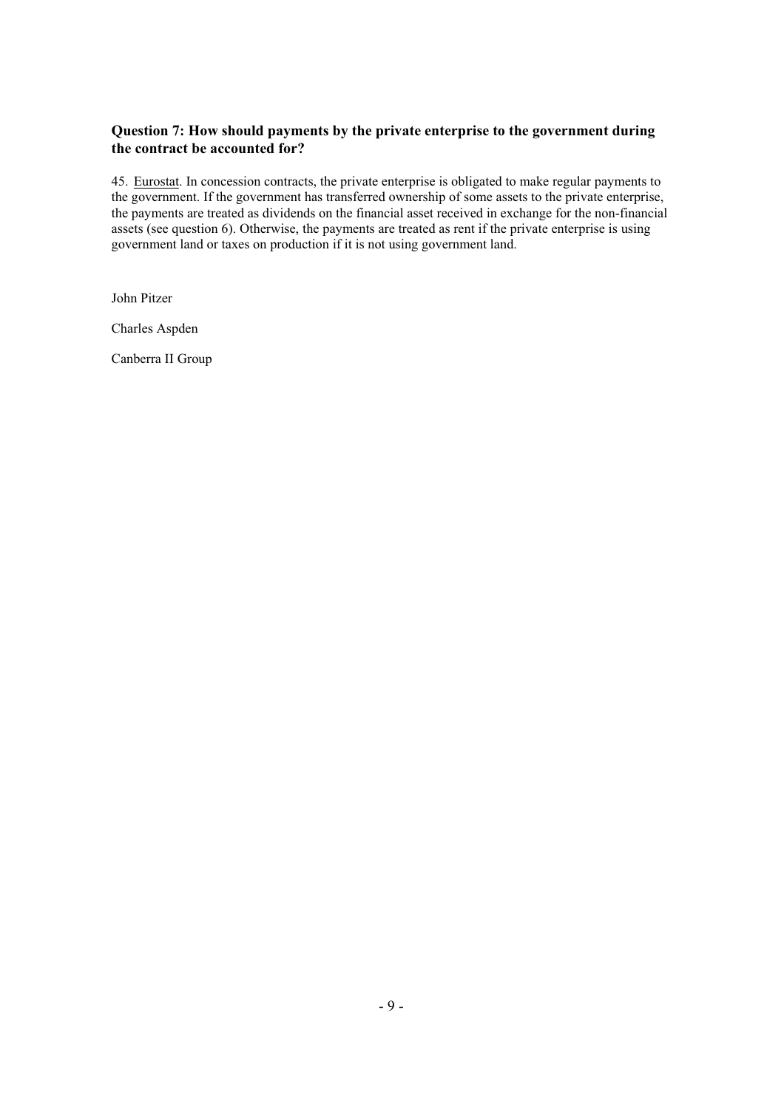## **Question 7: How should payments by the private enterprise to the government during the contract be accounted for?**

45. Eurostat. In concession contracts, the private enterprise is obligated to make regular payments to the government. If the government has transferred ownership of some assets to the private enterprise, the payments are treated as dividends on the financial asset received in exchange for the non-financial assets (see question 6). Otherwise, the payments are treated as rent if the private enterprise is using government land or taxes on production if it is not using government land.

John Pitzer

Charles Aspden

Canberra II Group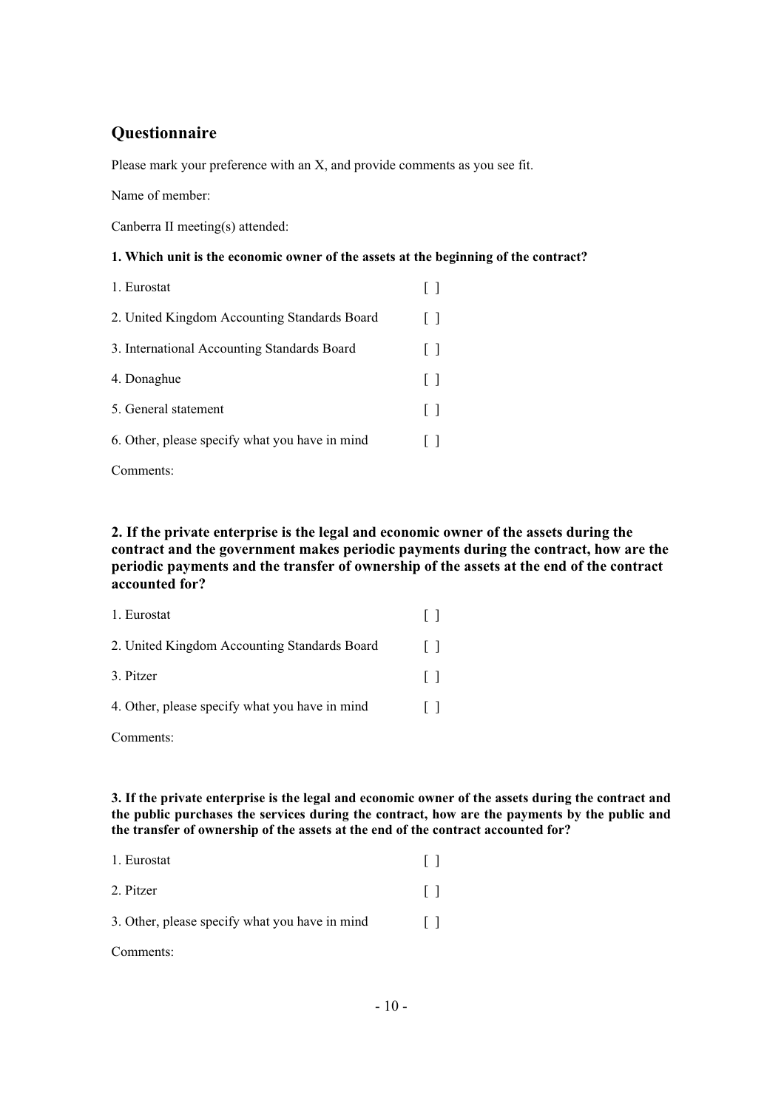# **Questionnaire**

Please mark your preference with an X, and provide comments as you see fit.

Name of member:

Canberra II meeting(s) attended:

## **1. Which unit is the economic owner of the assets at the beginning of the contract?**

| 1. Eurostat                                    |         |
|------------------------------------------------|---------|
| 2. United Kingdom Accounting Standards Board   | $\Box$  |
| 3. International Accounting Standards Board    | $\Box$  |
| 4. Donaghue                                    | $\perp$ |
| 5. General statement                           | $\Box$  |
| 6. Other, please specify what you have in mind |         |
|                                                |         |

Comments:

## **2. If the private enterprise is the legal and economic owner of the assets during the contract and the government makes periodic payments during the contract, how are the periodic payments and the transfer of ownership of the assets at the end of the contract accounted for?**

| 1. Eurostat                                    |  |
|------------------------------------------------|--|
| 2. United Kingdom Accounting Standards Board   |  |
| 3. Pitzer                                      |  |
| 4. Other, please specify what you have in mind |  |
| Comments:                                      |  |

**3. If the private enterprise is the legal and economic owner of the assets during the contract and the public purchases the services during the contract, how are the payments by the public and the transfer of ownership of the assets at the end of the contract accounted for?** 

| 1. Eurostat                                    |         |
|------------------------------------------------|---------|
| 2. Pitzer                                      | $\perp$ |
| 3. Other, please specify what you have in mind | $\perp$ |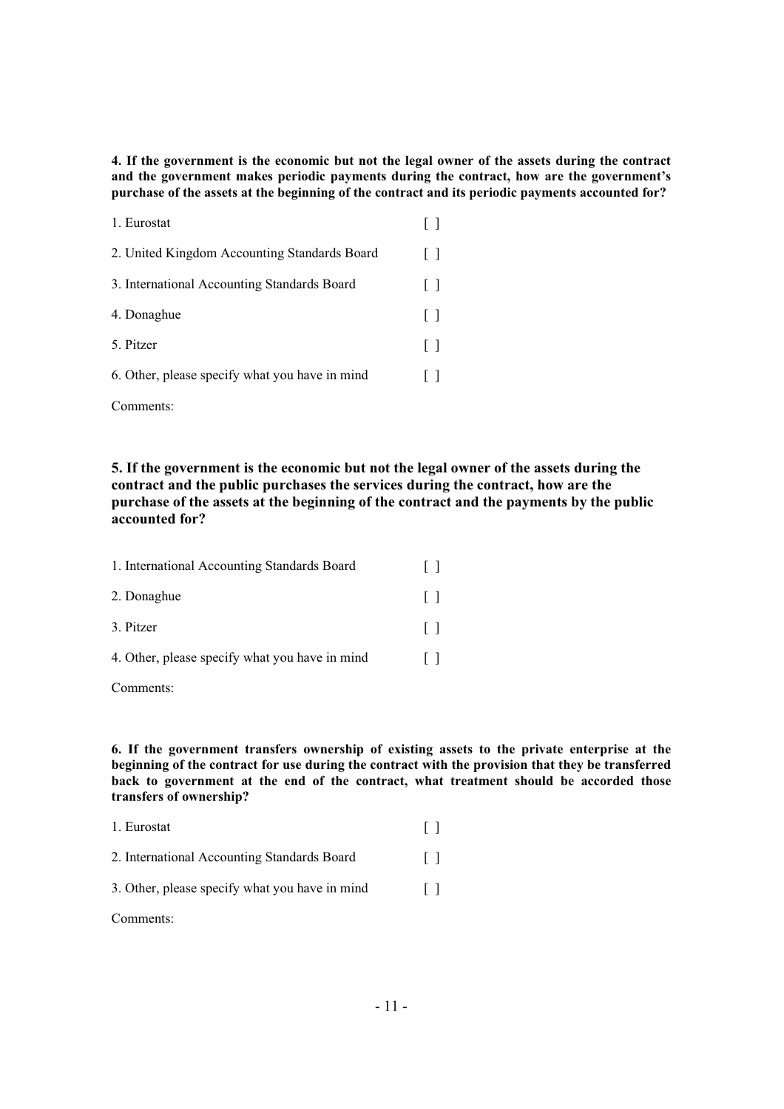**4. If the government is the economic but not the legal owner of the assets during the contract and the government makes periodic payments during the contract, how are the government's purchase of the assets at the beginning of the contract and its periodic payments accounted for?** 

| 1. Eurostat                                    |              |
|------------------------------------------------|--------------|
| 2. United Kingdom Accounting Standards Board   | $\Box$       |
| 3. International Accounting Standards Board    | $\mathsf{L}$ |
| 4. Donaghue                                    | $\mathsf{L}$ |
| 5. Pitzer                                      | $\mathsf{L}$ |
| 6. Other, please specify what you have in mind |              |
|                                                |              |

**5. If the government is the economic but not the legal owner of the assets during the contract and the public purchases the services during the contract, how are the purchase of the assets at the beginning of the contract and the payments by the public accounted for?**

| 1. International Accounting Standards Board    | $\Box$ |
|------------------------------------------------|--------|
| 2. Donaghue                                    | l J    |
| 3. Pitzer                                      | $\Box$ |
| 4. Other, please specify what you have in mind |        |

Comments:

Comments:

**6. If the government transfers ownership of existing assets to the private enterprise at the beginning of the contract for use during the contract with the provision that they be transferred back to government at the end of the contract, what treatment should be accorded those transfers of ownership?** 

| 1. Eurostat                                    |        |
|------------------------------------------------|--------|
| 2. International Accounting Standards Board    | $\Box$ |
| 3. Other, please specify what you have in mind | $\Box$ |
| Comments:                                      |        |